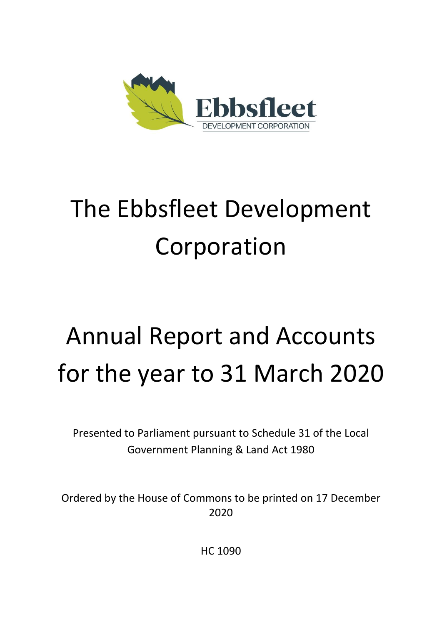

# The Ebbsfleet Development Corporation

# Annual Report and Accounts for the year to 31 March 2020

Presented to Parliament pursuant to Schedule 31 of the Local Government Planning & Land Act 1980

Ordered by the House of Commons to be printed on 17 December 2020

HC 1090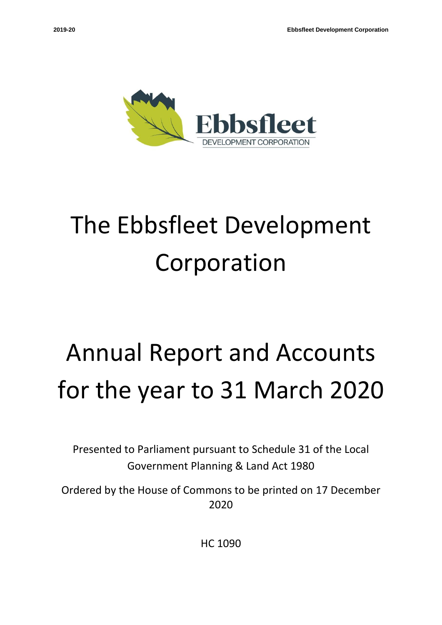

# The Ebbsfleet Development Corporation

# Annual Report and Accounts for the year to 31 March 2020

Presented to Parliament pursuant to Schedule 31 of the Local Government Planning & Land Act 1980

Ordered by the House of Commons to be printed on 17 December 2020

HC 1090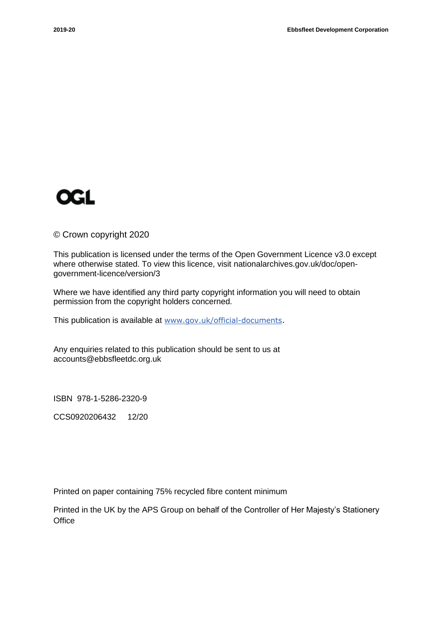

© Crown copyright 2020

This publication is licensed under the terms of the Open Government Licence v3.0 except where otherwise stated. To view this licence, visit nationalarchives.gov.uk/doc/opengovernment-licence/version/3

Where we have identified any third party copyright information you will need to obtain permission from the copyright holders concerned.

This publication is available at [www.gov.uk/official-documents.](https://www.gov.uk/government/publications)

Any enquiries related to this publication should be sent to us at accounts@ebbsfleetdc.org.uk

ISBN 978-1-5286-2320-9

CCS0920206432 12/20

Printed on paper containing 75% recycled fibre content minimum

Printed in the UK by the APS Group on behalf of the Controller of Her Majesty's Stationery **Office**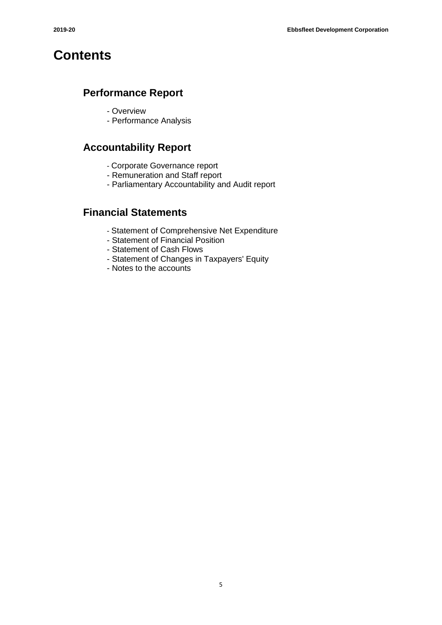# **Contents**

# **Performance Report**

- Overview
- Performance Analysis

# **Accountability Report**

- Corporate Governance report
- Remuneration and Staff report
- Parliamentary Accountability and Audit report

# **Financial Statements**

- Statement of Comprehensive Net Expenditure
- Statement of Financial Position
- Statement of Cash Flows
- Statement of Changes in Taxpayers' Equity
- Notes to the accounts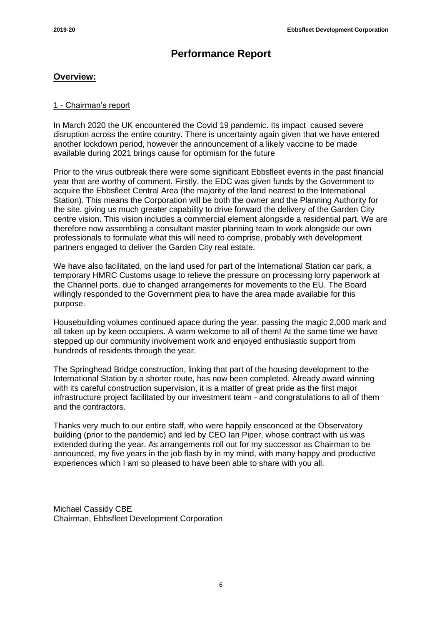# **Performance Report**

# **Overview:**

# 1 - Chairman's report

In March 2020 the UK encountered the Covid 19 pandemic. Its impact caused severe disruption across the entire country. There is uncertainty again given that we have entered another lockdown period, however the announcement of a likely vaccine to be made available during 2021 brings cause for optimism for the future

Prior to the virus outbreak there were some significant Ebbsfleet events in the past financial year that are worthy of comment. Firstly, the EDC was given funds by the Government to acquire the Ebbsfleet Central Area (the majority of the land nearest to the International Station). This means the Corporation will be both the owner and the Planning Authority for the site, giving us much greater capability to drive forward the delivery of the Garden City centre vision. This vision includes a commercial element alongside a residential part. We are therefore now assembling a consultant master planning team to work alongside our own professionals to formulate what this will need to comprise, probably with development partners engaged to deliver the Garden City real estate.

We have also facilitated, on the land used for part of the International Station car park, a temporary HMRC Customs usage to relieve the pressure on processing lorry paperwork at the Channel ports, due to changed arrangements for movements to the EU. The Board willingly responded to the Government plea to have the area made available for this purpose.

Housebuilding volumes continued apace during the year, passing the magic 2,000 mark and all taken up by keen occupiers. A warm welcome to all of them! At the same time we have stepped up our community involvement work and enjoyed enthusiastic support from hundreds of residents through the year.

The Springhead Bridge construction, linking that part of the housing development to the International Station by a shorter route, has now been completed. Already award winning with its careful construction supervision, it is a matter of great pride as the first major infrastructure project facilitated by our investment team - and congratulations to all of them and the contractors.

Thanks very much to our entire staff, who were happily ensconced at the Observatory building (prior to the pandemic) and led by CEO Ian Piper, whose contract with us was extended during the year. As arrangements roll out for my successor as Chairman to be announced, my five years in the job flash by in my mind, with many happy and productive experiences which I am so pleased to have been able to share with you all.

Michael Cassidy CBE Chairman, Ebbsfleet Development Corporation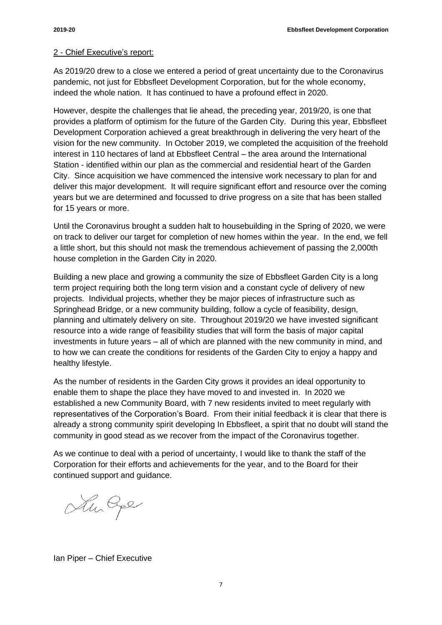# 2 - Chief Executive's report:

As 2019/20 drew to a close we entered a period of great uncertainty due to the Coronavirus pandemic, not just for Ebbsfleet Development Corporation, but for the whole economy, indeed the whole nation. It has continued to have a profound effect in 2020.

However, despite the challenges that lie ahead, the preceding year, 2019/20, is one that provides a platform of optimism for the future of the Garden City. During this year, Ebbsfleet Development Corporation achieved a great breakthrough in delivering the very heart of the vision for the new community. In October 2019, we completed the acquisition of the freehold interest in 110 hectares of land at Ebbsfleet Central – the area around the International Station - identified within our plan as the commercial and residential heart of the Garden City. Since acquisition we have commenced the intensive work necessary to plan for and deliver this major development. It will require significant effort and resource over the coming years but we are determined and focussed to drive progress on a site that has been stalled for 15 years or more.

Until the Coronavirus brought a sudden halt to housebuilding in the Spring of 2020, we were on track to deliver our target for completion of new homes within the year. In the end, we fell a little short, but this should not mask the tremendous achievement of passing the 2,000th house completion in the Garden City in 2020.

Building a new place and growing a community the size of Ebbsfleet Garden City is a long term project requiring both the long term vision and a constant cycle of delivery of new projects. Individual projects, whether they be major pieces of infrastructure such as Springhead Bridge, or a new community building, follow a cycle of feasibility, design, planning and ultimately delivery on site. Throughout 2019/20 we have invested significant resource into a wide range of feasibility studies that will form the basis of major capital investments in future years – all of which are planned with the new community in mind, and to how we can create the conditions for residents of the Garden City to enjoy a happy and healthy lifestyle.

As the number of residents in the Garden City grows it provides an ideal opportunity to enable them to shape the place they have moved to and invested in. In 2020 we established a new Community Board, with 7 new residents invited to meet regularly with representatives of the Corporation's Board. From their initial feedback it is clear that there is already a strong community spirit developing In Ebbsfleet, a spirit that no doubt will stand the community in good stead as we recover from the impact of the Coronavirus together.

As we continue to deal with a period of uncertainty, I would like to thank the staff of the Corporation for their efforts and achievements for the year, and to the Board for their continued support and guidance.

Alle Ope

Ian Piper – Chief Executive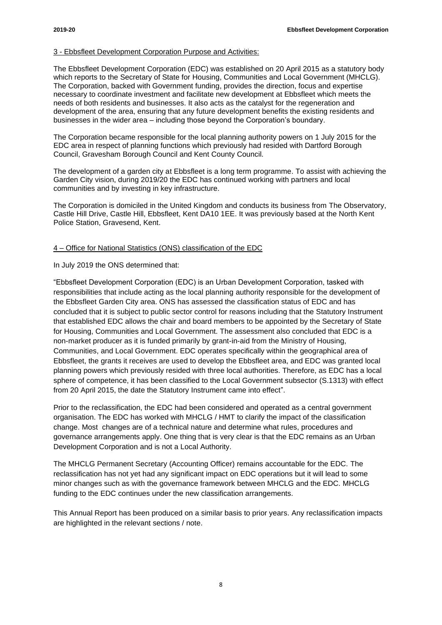# 3 - Ebbsfleet Development Corporation Purpose and Activities:

The Ebbsfleet Development Corporation (EDC) was established on 20 April 2015 as a statutory body which reports to the Secretary of State for [Housing, Communities and Local Government](https://www.gov.uk/government/organisations/department-for-communities-and-local-government) (MHCLG). The Corporation, backed with Government funding, provides the direction, focus and expertise necessary to coordinate investment and facilitate new development at Ebbsfleet which meets the needs of both residents and businesses. It also acts as the catalyst for the regeneration and development of the area, ensuring that any future development benefits the existing residents and businesses in the wider area – including those beyond the Corporation's boundary.

The Corporation became responsible for the local planning authority powers on 1 July 2015 for the EDC area in respect of planning functions which previously had resided with Dartford Borough Council, Gravesham Borough Council and Kent County Council.

The development of a garden city at Ebbsfleet is a long term programme. To assist with achieving the Garden City vision, during 2019/20 the EDC has continued working with partners and local communities and by investing in key infrastructure.

The Corporation is domiciled in the United Kingdom and conducts its business from The Observatory, Castle Hill Drive, Castle Hill, Ebbsfleet, Kent DA10 1EE. It was previously based at the North Kent Police Station, Gravesend, Kent.

# 4 – Office for National Statistics (ONS) classification of the EDC

In July 2019 the ONS determined that:

"Ebbsfleet Development Corporation (EDC) is an Urban Development Corporation, tasked with responsibilities that include acting as the local planning authority responsible for the development of the Ebbsfleet Garden City area. ONS has assessed the classification status of EDC and has concluded that it is subject to public sector control for reasons including that the Statutory Instrument that established EDC allows the chair and board members to be appointed by the Secretary of State for Housing, Communities and Local Government. The assessment also concluded that EDC is a non-market producer as it is funded primarily by grant-in-aid from the Ministry of Housing, Communities, and Local Government. EDC operates specifically within the geographical area of Ebbsfleet, the grants it receives are used to develop the Ebbsfleet area, and EDC was granted local planning powers which previously resided with three local authorities. Therefore, as EDC has a local sphere of competence, it has been classified to the Local Government subsector (S.1313) with effect from 20 April 2015, the date the Statutory Instrument came into effect".

Prior to the reclassification, the EDC had been considered and operated as a central government organisation. The EDC has worked with MHCLG / HMT to clarify the impact of the classification change. Most changes are of a technical nature and determine what rules, procedures and governance arrangements apply. One thing that is very clear is that the EDC remains as an Urban Development Corporation and is not a Local Authority.

The MHCLG Permanent Secretary (Accounting Officer) remains accountable for the EDC. The reclassification has not yet had any significant impact on EDC operations but it will lead to some minor changes such as with the governance framework between MHCLG and the EDC. MHCLG funding to the EDC continues under the new classification arrangements.

This Annual Report has been produced on a similar basis to prior years. Any reclassification impacts are highlighted in the relevant sections / note.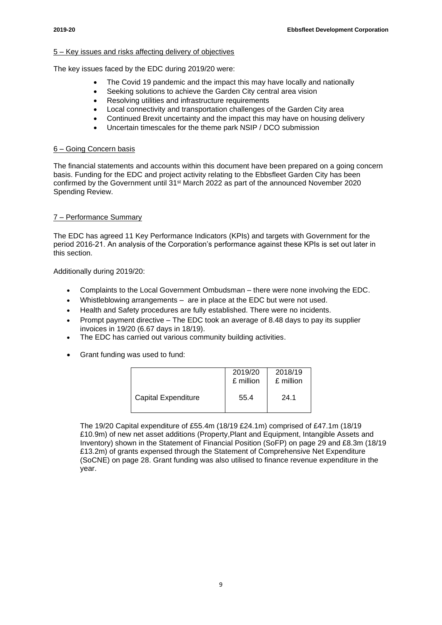# 5 – Key issues and risks affecting delivery of objectives

The key issues faced by the EDC during 2019/20 were:

- The Covid 19 pandemic and the impact this may have locally and nationally
- Seeking solutions to achieve the Garden City central area vision
- Resolving utilities and infrastructure requirements
- Local connectivity and transportation challenges of the Garden City area
- Continued Brexit uncertainty and the impact this may have on housing delivery
- Uncertain timescales for the theme park NSIP / DCO submission

# 6 – Going Concern basis

The financial statements and accounts within this document have been prepared on a going concern basis. Funding for the EDC and project activity relating to the Ebbsfleet Garden City has been confirmed by the Government until 31<sup>st</sup> March 2022 as part of the announced November 2020 Spending Review.

# 7 – Performance Summary

The EDC has agreed 11 Key Performance Indicators (KPIs) and targets with Government for the period 2016-21. An analysis of the Corporation's performance against these KPIs is set out later in this section.

Additionally during 2019/20:

- Complaints to the Local Government Ombudsman there were none involving the EDC.
- Whistleblowing arrangements are in place at the EDC but were not used.
- Health and Safety procedures are fully established. There were no incidents.
- Prompt payment directive The EDC took an average of 8.48 days to pay its supplier invoices in 19/20 (6.67 days in 18/19).
- The EDC has carried out various community building activities.
- Grant funding was used to fund:

|                     | 2019/20<br>£ million | 2018/19<br>£ million |
|---------------------|----------------------|----------------------|
| Capital Expenditure | 55.4                 | 24.1                 |

The 19/20 Capital expenditure of £55.4m (18/19 £24.1m) comprised of £47.1m (18/19 £10.9m) of new net asset additions (Property,Plant and Equipment, Intangible Assets and Inventory) shown in the Statement of Financial Position (SoFP) on page 29 and £8.3m (18/19 £13.2m) of grants expensed through the Statement of Comprehensive Net Expenditure (SoCNE) on page 28. Grant funding was also utilised to finance revenue expenditure in the year.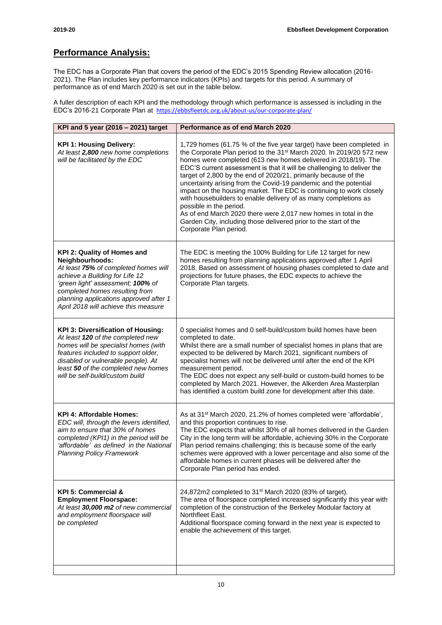# **Performance Analysis:**

The EDC has a Corporate Plan that covers the period of the EDC's 2015 Spending Review allocation (2016- 2021). The Plan includes key performance indicators (KPIs) and targets for this period. A summary of performance as of end March 2020 is set out in the table below.

A fuller description of each KPI and the methodology through which performance is assessed is including in the EDC's 2016-21 Corporate Plan at <https://ebbsfleetdc.org.uk/about-us/our-corporate-plan/>

| KPI and 5 year (2016 - 2021) target                                                                                                                                                                                                                                               | Performance as of end March 2020                                                                                                                                                                                                                                                                                                                                                                                                                                                                                                                                                                                                                                                                                                                                                  |
|-----------------------------------------------------------------------------------------------------------------------------------------------------------------------------------------------------------------------------------------------------------------------------------|-----------------------------------------------------------------------------------------------------------------------------------------------------------------------------------------------------------------------------------------------------------------------------------------------------------------------------------------------------------------------------------------------------------------------------------------------------------------------------------------------------------------------------------------------------------------------------------------------------------------------------------------------------------------------------------------------------------------------------------------------------------------------------------|
| <b>KPI 1: Housing Delivery:</b><br>At least 2,800 new home completions<br>will be facilitated by the EDC                                                                                                                                                                          | 1,729 homes (61.75 % of the five year target) have been completed in<br>the Corporate Plan period to the 31 <sup>st</sup> March 2020. In 2019/20 572 new<br>homes were completed (613 new homes delivered in 2018/19). The<br>EDC'S current assessment is that it will be challenging to deliver the<br>target of 2,800 by the end of 2020/21, primarily because of the<br>uncertainty arising from the Covid-19 pandemic and the potential<br>impact on the housing market. The EDC is continuing to work closely<br>with housebuilders to enable delivery of as many completions as<br>possible in the period.<br>As of end March 2020 there were 2,017 new homes in total in the<br>Garden City, including those delivered prior to the start of the<br>Corporate Plan period. |
| KPI 2: Quality of Homes and<br>Neighbourhoods:<br>At least 75% of completed homes will<br>achieve a Building for Life 12<br>'green light' assessment; 100% of<br>completed homes resulting from<br>planning applications approved after 1<br>April 2018 will achieve this measure | The EDC is meeting the 100% Building for Life 12 target for new<br>homes resulting from planning applications approved after 1 April<br>2018. Based on assessment of housing phases completed to date and<br>projections for future phases, the EDC expects to achieve the<br>Corporate Plan targets.                                                                                                                                                                                                                                                                                                                                                                                                                                                                             |
| KPI 3: Diversification of Housing:<br>At least 120 of the completed new<br>homes will be specialist homes (with<br>features included to support older,<br>disabled or vulnerable people). At<br>least 50 of the completed new homes<br>will be self-build/custom build            | 0 specialist homes and 0 self-build/custom build homes have been<br>completed to date.<br>Whilst there are a small number of specialist homes in plans that are<br>expected to be delivered by March 2021, significant numbers of<br>specialist homes will not be delivered until after the end of the KPI<br>measurement period.<br>The EDC does not expect any self-build or custom-build homes to be<br>completed by March 2021. However, the Alkerden Area Masterplan<br>has identified a custom build zone for development after this date.                                                                                                                                                                                                                                  |
| <b>KPI 4: Affordable Homes:</b><br>EDC will, through the levers identified,<br>aim to ensure that 30% of homes<br>completed (KPI1) in the period will be<br>'affordable' as defined in the National<br><b>Planning Policy Framework</b>                                           | As at 31 <sup>st</sup> March 2020, 21.2% of homes completed were 'affordable',<br>and this proportion continues to rise.<br>The EDC expects that whilst 30% of all homes delivered in the Garden<br>City in the long term will be affordable, achieving 30% in the Corporate<br>Plan period remains challenging; this is because some of the early<br>schemes were approved with a lower percentage and also some of the<br>affordable homes in current phases will be delivered after the<br>Corporate Plan period has ended.                                                                                                                                                                                                                                                    |
| <b>KPI 5: Commercial &amp;</b><br><b>Employment Floorspace:</b><br>At least 30,000 m2 of new commercial<br>and employment floorspace will<br>be completed                                                                                                                         | 24,872m2 completed to 31 <sup>st</sup> March 2020 (83% of target).<br>The area of floorspace completed increased significantly this year with<br>completion of the construction of the Berkeley Modular factory at<br>Northfleet East.<br>Additional floorspace coming forward in the next year is expected to<br>enable the achievement of this target.                                                                                                                                                                                                                                                                                                                                                                                                                          |
|                                                                                                                                                                                                                                                                                   |                                                                                                                                                                                                                                                                                                                                                                                                                                                                                                                                                                                                                                                                                                                                                                                   |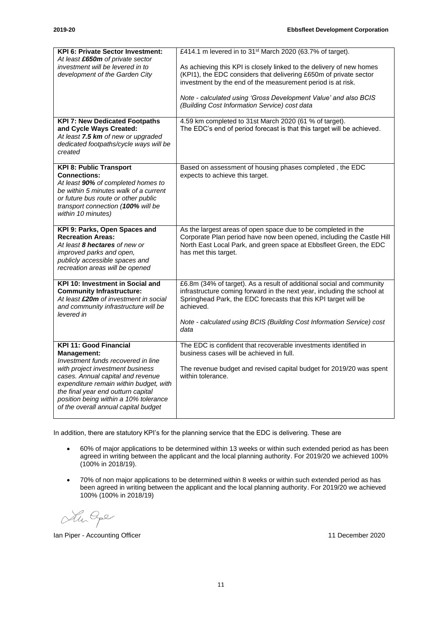| <b>KPI 6: Private Sector Investment:</b><br>At least £650m of private sector<br>investment will be levered in to<br>development of the Garden City                                                                                                                                                                           | £414.1 m levered in to 31 <sup>st</sup> March 2020 (63.7% of target).<br>As achieving this KPI is closely linked to the delivery of new homes<br>(KPI1), the EDC considers that delivering £650m of private sector<br>investment by the end of the measurement period is at risk.<br>Note - calculated using 'Gross Development Value' and also BCIS<br>(Building Cost Information Service) cost data |
|------------------------------------------------------------------------------------------------------------------------------------------------------------------------------------------------------------------------------------------------------------------------------------------------------------------------------|-------------------------------------------------------------------------------------------------------------------------------------------------------------------------------------------------------------------------------------------------------------------------------------------------------------------------------------------------------------------------------------------------------|
| <b>KPI 7: New Dedicated Footpaths</b><br>and Cycle Ways Created:<br>At least 7.5 km of new or upgraded<br>dedicated footpaths/cycle ways will be<br>created                                                                                                                                                                  | 4.59 km completed to 31st March 2020 (61 % of target).<br>The EDC's end of period forecast is that this target will be achieved.                                                                                                                                                                                                                                                                      |
| <b>KPI 8: Public Transport</b><br><b>Connections:</b><br>At least 90% of completed homes to<br>be within 5 minutes walk of a current<br>or future bus route or other public<br>transport connection (100% will be<br>within 10 minutes)                                                                                      | Based on assessment of housing phases completed, the EDC<br>expects to achieve this target.                                                                                                                                                                                                                                                                                                           |
| KPI 9: Parks, Open Spaces and<br><b>Recreation Areas:</b><br>At least <b>8 hectares</b> of new or<br>improved parks and open,<br>publicly accessible spaces and<br>recreation areas will be opened                                                                                                                           | As the largest areas of open space due to be completed in the<br>Corporate Plan period have now been opened, including the Castle Hill<br>North East Local Park, and green space at Ebbsfleet Green, the EDC<br>has met this target.                                                                                                                                                                  |
| <b>KPI 10: Investment in Social and</b><br><b>Community Infrastructure:</b><br>At least £20m of investment in social<br>and community infrastructure will be<br>levered in                                                                                                                                                   | £6.8m (34% of target). As a result of additional social and community<br>infrastructure coming forward in the next year, including the school at<br>Springhead Park, the EDC forecasts that this KPI target will be<br>achieved.<br>Note - calculated using BCIS (Building Cost Information Service) cost<br>data                                                                                     |
| <b>KPI 11: Good Financial</b><br>Management:<br>Investment funds recovered in line<br>with project investment business<br>cases. Annual capital and revenue<br>expenditure remain within budget, with<br>the final year end outturn capital<br>position being within a 10% tolerance<br>of the overall annual capital budget | The EDC is confident that recoverable investments identified in<br>business cases will be achieved in full.<br>The revenue budget and revised capital budget for 2019/20 was spent<br>within tolerance.                                                                                                                                                                                               |

In addition, there are statutory KPI's for the planning service that the EDC is delivering. These are

- 60% of major applications to be determined within 13 weeks or within such extended period as has been agreed in writing between the applicant and the local planning authority. For 2019/20 we achieved 100% (100% in 2018/19).
- 70% of non major applications to be determined within 8 weeks or within such extended period as has been agreed in writing between the applicant and the local planning authority. For 2019/20 we achieved 100% (100% in 2018/19)

Lu Ge

Ian Piper - Accounting Officer 11 December 2020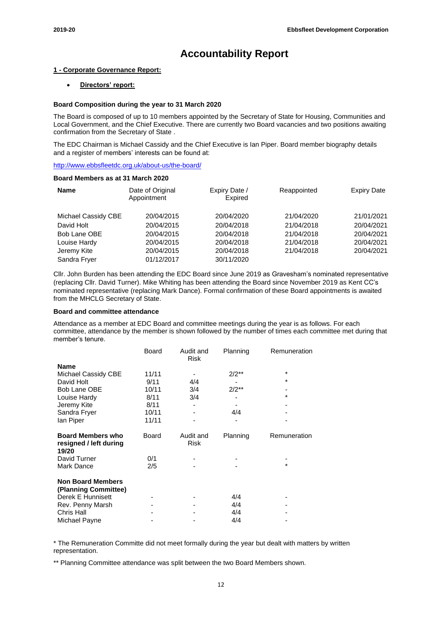# **Accountability Report**

# **1 - Corporate Governance Report:**

## • **Directors' report:**

## **Board Composition during the year to 31 March 2020**

The Board is composed of up to 10 members appointed by the Secretary of State for Housing, Communities and Local Government, and the Chief Executive. There are currently two Board vacancies and two positions awaiting confirmation from the Secretary of State .

The EDC Chairman is Michael Cassidy and the Chief Executive is Ian Piper. Board member biography details and a register of members' interests can be found at:

## <http://www.ebbsfleetdc.org.uk/about-us/the-board/>

## **Board Members as at 31 March 2020**

| <b>Name</b>         | Date of Original<br>Appointment | Expiry Date /<br>Expired | Reappointed | <b>Expiry Date</b> |
|---------------------|---------------------------------|--------------------------|-------------|--------------------|
| Michael Cassidy CBE | 20/04/2015                      | 20/04/2020               | 21/04/2020  | 21/01/2021         |
| David Holt          | 20/04/2015                      | 20/04/2018               | 21/04/2018  | 20/04/2021         |
| Bob Lane OBE        | 20/04/2015                      | 20/04/2018               | 21/04/2018  | 20/04/2021         |
| Louise Hardy        | 20/04/2015                      | 20/04/2018               | 21/04/2018  | 20/04/2021         |
| Jeremy Kite         | 20/04/2015                      | 20/04/2018               | 21/04/2018  | 20/04/2021         |
| Sandra Fryer        | 01/12/2017                      | 30/11/2020               |             |                    |

Cllr. John Burden has been attending the EDC Board since June 2019 as Gravesham's nominated representative (replacing Cllr. David Turner). Mike Whiting has been attending the Board since November 2019 as Kent CC's nominated representative (replacing Mark Dance). Formal confirmation of these Board appointments is awaited from the MHCLG Secretary of State.

## **Board and committee attendance**

Attendance as a member at EDC Board and committee meetings during the year is as follows. For each committee, attendance by the member is shown followed by the number of times each committee met during that member's tenure.

|                                                             | <b>Board</b> | Audit and<br><b>Risk</b> | Planning | Remuneration |
|-------------------------------------------------------------|--------------|--------------------------|----------|--------------|
| <b>Name</b>                                                 |              |                          |          |              |
| Michael Cassidy CBE                                         | 11/11        |                          | $2/2**$  | *            |
| David Holt                                                  | 9/11         | 4/4                      |          | *            |
| Bob Lane OBE                                                | 10/11        | 3/4                      | $2/2**$  |              |
| Louise Hardy                                                | 8/11         | 3/4                      |          | $\star$      |
| Jeremy Kite                                                 | 8/11         |                          |          |              |
| Sandra Fryer                                                | 10/11        |                          | 4/4      |              |
| lan Piper                                                   | 11/11        |                          |          |              |
| <b>Board Members who</b><br>resigned / left during<br>19/20 | Board        | Audit and<br>Risk        | Planning | Remuneration |
| David Turner                                                | 0/1          |                          |          |              |
| Mark Dance                                                  | 2/5          |                          |          | $\ast$       |
| <b>Non Board Members</b><br>(Planning Committee)            |              |                          |          |              |
| Derek E Hunnisett                                           |              |                          | 4/4      |              |
| Rev. Penny Marsh                                            |              |                          | 4/4      |              |
| Chris Hall                                                  |              |                          | 4/4      |              |
| Michael Payne                                               |              |                          | 4/4      |              |

\* The Remuneration Committe did not meet formally during the year but dealt with matters by written representation.

\*\* Planning Committee attendance was split between the two Board Members shown.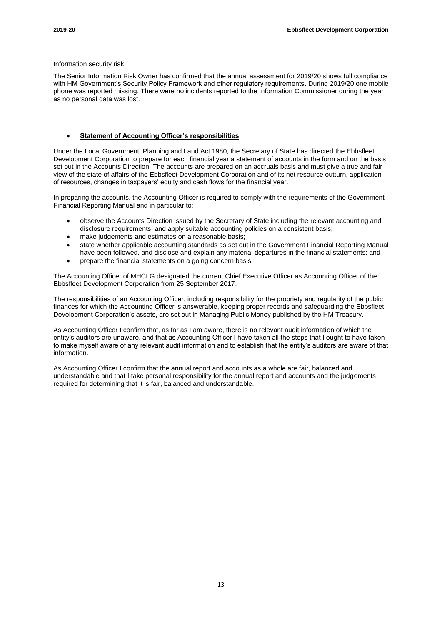## Information security risk

The Senior Information Risk Owner has confirmed that the annual assessment for 2019/20 shows full compliance with HM Government's Security Policy Framework and other regulatory requirements. During 2019/20 one mobile phone was reported missing. There were no incidents reported to the Information Commissioner during the year as no personal data was lost.

# • **Statement of Accounting Officer's responsibilities**

Under the Local Government, Planning and Land Act 1980, the Secretary of State has directed the Ebbsfleet Development Corporation to prepare for each financial year a statement of accounts in the form and on the basis set out in the Accounts Direction. The accounts are prepared on an accruals basis and must give a true and fair view of the state of affairs of the Ebbsfleet Development Corporation and of its net resource outturn, application of resources, changes in taxpayers' equity and cash flows for the financial year.

In preparing the accounts, the Accounting Officer is required to comply with the requirements of the Government Financial Reporting Manual and in particular to:

- observe the Accounts Direction issued by the Secretary of State including the relevant accounting and disclosure requirements, and apply suitable accounting policies on a consistent basis;
- make judgements and estimates on a reasonable basis;
- state whether applicable accounting standards as set out in the Government Financial Reporting Manual have been followed, and disclose and explain any material departures in the financial statements; and
- prepare the financial statements on a going concern basis.

The Accounting Officer of MHCLG designated the current Chief Executive Officer as Accounting Officer of the Ebbsfleet Development Corporation from 25 September 2017.

The responsibilities of an Accounting Officer, including responsibility for the propriety and regularity of the public finances for which the Accounting Officer is answerable, keeping proper records and safeguarding the Ebbsfleet Development Corporation's assets, are set out in Managing Public Money published by the HM Treasury.

As Accounting Officer I confirm that, as far as I am aware, there is no relevant audit information of which the entity's auditors are unaware, and that as Accounting Officer I have taken all the steps that I ought to have taken to make myself aware of any relevant audit information and to establish that the entity's auditors are aware of that information.

As Accounting Officer I confirm that the annual report and accounts as a whole are fair, balanced and understandable and that I take personal responsibility for the annual report and accounts and the judgements required for determining that it is fair, balanced and understandable.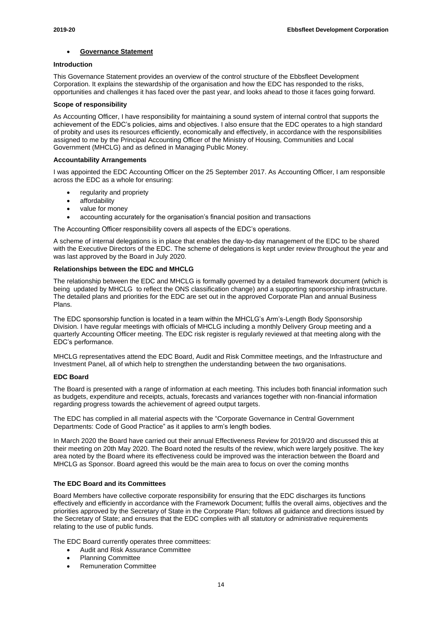## • **Governance Statement**

## **Introduction**

This Governance Statement provides an overview of the control structure of the Ebbsfleet Development Corporation. It explains the stewardship of the organisation and how the EDC has responded to the risks, opportunities and challenges it has faced over the past year, and looks ahead to those it faces going forward.

## **Scope of responsibility**

As Accounting Officer, I have responsibility for maintaining a sound system of internal control that supports the achievement of the EDC's policies, aims and objectives. I also ensure that the EDC operates to a high standard of probity and uses its resources efficiently, economically and effectively, in accordance with the responsibilities assigned to me by the Principal Accounting Officer of the Ministry of Housing, Communities and Local Government (MHCLG) and as defined in Managing Public Money.

## **Accountability Arrangements**

I was appointed the EDC Accounting Officer on the 25 September 2017. As Accounting Officer, I am responsible across the EDC as a whole for ensuring:

- regularity and propriety
- affordability
- value for money
- accounting accurately for the organisation's financial position and transactions

The Accounting Officer responsibility covers all aspects of the EDC's operations.

A scheme of internal delegations is in place that enables the day-to-day management of the EDC to be shared with the Executive Directors of the EDC. The scheme of delegations is kept under review throughout the year and was last approved by the Board in July 2020.

## **Relationships between the EDC and MHCLG**

The relationship between the EDC and MHCLG is formally governed by a detailed framework document (which is being updated by MHCLG to reflect the ONS classification change) and a supporting sponsorship infrastructure. The detailed plans and priorities for the EDC are set out in the approved Corporate Plan and annual Business Plans.

The EDC sponsorship function is located in a team within the MHCLG's Arm's-Length Body Sponsorship Division. I have regular meetings with officials of MHCLG including a monthly Delivery Group meeting and a quarterly Accounting Officer meeting. The EDC risk register is regularly reviewed at that meeting along with the EDC's performance.

MHCLG representatives attend the EDC Board, Audit and Risk Committee meetings, and the Infrastructure and Investment Panel, all of which help to strengthen the understanding between the two organisations.

# **EDC Board**

The Board is presented with a range of information at each meeting. This includes both financial information such as budgets, expenditure and receipts, actuals, forecasts and variances together with non-financial information regarding progress towards the achievement of agreed output targets.

The EDC has complied in all material aspects with the "Corporate Governance in Central Government Departments: Code of Good Practice" as it applies to arm's length bodies.

In March 2020 the Board have carried out their annual Effectiveness Review for 2019/20 and discussed this at their meeting on 20th May 2020. The Board noted the results of the review, which were largely positive. The key area noted by the Board where its effectiveness could be improved was the interaction between the Board and MHCLG as Sponsor. Board agreed this would be the main area to focus on over the coming months

# **The EDC Board and its Committees**

Board Members have collective corporate responsibility for ensuring that the EDC discharges its functions effectively and efficiently in accordance with the Framework Document; fulfils the overall aims, objectives and the priorities approved by the Secretary of State in the Corporate Plan; follows all guidance and directions issued by the Secretary of State; and ensures that the EDC complies with all statutory or administrative requirements relating to the use of public funds.

The EDC Board currently operates three committees:

- Audit and Risk Assurance Committee
- Planning Committee
- Remuneration Committee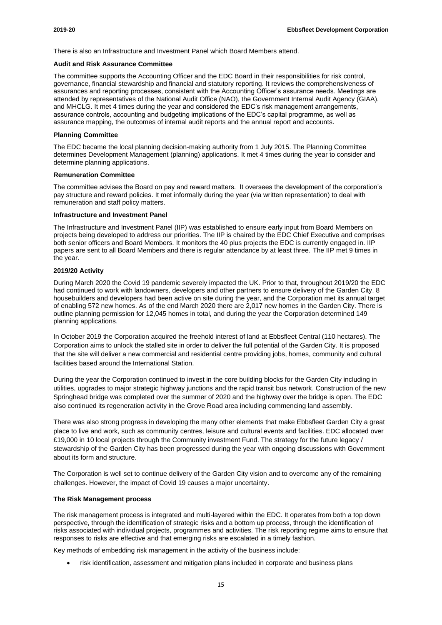There is also an Infrastructure and Investment Panel which Board Members attend.

## **Audit and Risk Assurance Committee**

The committee supports the Accounting Officer and the EDC Board in their responsibilities for risk control, governance, financial stewardship and financial and statutory reporting. It reviews the comprehensiveness of assurances and reporting processes, consistent with the Accounting Officer's assurance needs. Meetings are attended by representatives of the National Audit Office (NAO), the Government Internal Audit Agency (GIAA), and MHCLG. It met 4 times during the year and considered the EDC's risk management arrangements, assurance controls, accounting and budgeting implications of the EDC's capital programme, as well as assurance mapping, the outcomes of internal audit reports and the annual report and accounts.

## **Planning Committee**

The EDC became the local planning decision-making authority from 1 July 2015. The Planning Committee determines Development Management (planning) applications. It met 4 times during the year to consider and determine planning applications.

## **Remuneration Committee**

The committee advises the Board on pay and reward matters. It oversees the development of the corporation's pay structure and reward policies. It met informally during the year (via written representation) to deal with remuneration and staff policy matters.

## **Infrastructure and Investment Panel**

The Infrastructure and Investment Panel (IIP) was established to ensure early input from Board Members on projects being developed to address our priorities. The IIP is chaired by the EDC Chief Executive and comprises both senior officers and Board Members. It monitors the 40 plus projects the EDC is currently engaged in. IIP papers are sent to all Board Members and there is regular attendance by at least three. The IIP met 9 times in the year.

## **2019/20 Activity**

During March 2020 the Covid 19 pandemic severely impacted the UK. Prior to that, throughout 2019/20 the EDC had continued to work with landowners, developers and other partners to ensure delivery of the Garden City. 8 housebuilders and developers had been active on site during the year, and the Corporation met its annual target of enabling 572 new homes. As of the end March 2020 there are 2,017 new homes in the Garden City. There is outline planning permission for 12,045 homes in total, and during the year the Corporation determined 149 planning applications.

In October 2019 the Corporation acquired the freehold interest of land at Ebbsfleet Central (110 hectares). The Corporation aims to unlock the stalled site in order to deliver the full potential of the Garden City. It is proposed that the site will deliver a new commercial and residential centre providing jobs, homes, community and cultural facilities based around the International Station.

During the year the Corporation continued to invest in the core building blocks for the Garden City including in utilities, upgrades to major strategic highway junctions and the rapid transit bus network. Construction of the new Springhead bridge was completed over the summer of 2020 and the highway over the bridge is open. The EDC also continued its regeneration activity in the Grove Road area including commencing land assembly.

There was also strong progress in developing the many other elements that make Ebbsfleet Garden City a great place to live and work, such as community centres, leisure and cultural events and facilities. EDC allocated over £19,000 in 10 local projects through the Community investment Fund. The strategy for the future legacy / stewardship of the Garden City has been progressed during the year with ongoing discussions with Government about its form and structure.

The Corporation is well set to continue delivery of the Garden City vision and to overcome any of the remaining challenges. However, the impact of Covid 19 causes a major uncertainty.

## **The Risk Management process**

The risk management process is integrated and multi-layered within the EDC. It operates from both a top down perspective, through the identification of strategic risks and a bottom up process, through the identification of risks associated with individual projects, programmes and activities. The risk reporting regime aims to ensure that responses to risks are effective and that emerging risks are escalated in a timely fashion.

Key methods of embedding risk management in the activity of the business include:

• risk identification, assessment and mitigation plans included in corporate and business plans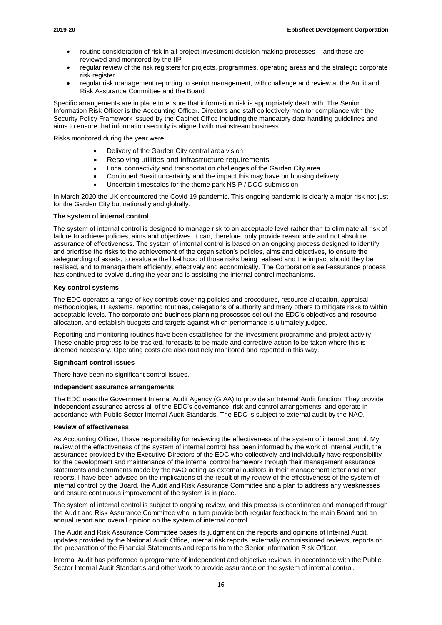- routine consideration of risk in all project investment decision making processes and these are reviewed and monitored by the IIP
- regular review of the risk registers for projects, programmes, operating areas and the strategic corporate risk register
- regular risk management reporting to senior management, with challenge and review at the Audit and Risk Assurance Committee and the Board

Specific arrangements are in place to ensure that information risk is appropriately dealt with. The Senior Information Risk Officer is the Accounting Officer. Directors and staff collectively monitor compliance with the Security Policy Framework issued by the Cabinet Office including the mandatory data handling guidelines and aims to ensure that information security is aligned with mainstream business.

Risks monitored during the year were:

- Delivery of the Garden City central area vision
- Resolving utilities and infrastructure requirements
- Local connectivity and transportation challenges of the Garden City area
- Continued Brexit uncertainty and the impact this may have on housing delivery
- Uncertain timescales for the theme park NSIP / DCO submission

In March 2020 the UK encountered the Covid 19 pandemic. This ongoing pandemic is clearly a major risk not just for the Garden City but nationally and globally.

#### **The system of internal control**

The system of internal control is designed to manage risk to an acceptable level rather than to eliminate all risk of failure to achieve policies, aims and objectives. It can, therefore, only provide reasonable and not absolute assurance of effectiveness. The system of internal control is based on an ongoing process designed to identify and prioritise the risks to the achievement of the organisation's policies, aims and objectives, to ensure the safeguarding of assets, to evaluate the likelihood of those risks being realised and the impact should they be realised, and to manage them efficiently, effectively and economically. The Corporation's self-assurance process has continued to evolve during the year and is assisting the internal control mechanisms.

#### **Key control systems**

The EDC operates a range of key controls covering policies and procedures, resource allocation, appraisal methodologies, IT systems, reporting routines, delegations of authority and many others to mitigate risks to within acceptable levels. The corporate and business planning processes set out the EDC's objectives and resource allocation, and establish budgets and targets against which performance is ultimately judged.

Reporting and monitoring routines have been established for the investment programme and project activity. These enable progress to be tracked, forecasts to be made and corrective action to be taken where this is deemed necessary. Operating costs are also routinely monitored and reported in this way.

#### **Significant control issues**

There have been no significant control issues.

## **Independent assurance arrangements**

The EDC uses the Government Internal Audit Agency (GIAA) to provide an Internal Audit function. They provide independent assurance across all of the EDC's governance, risk and control arrangements, and operate in accordance with Public Sector Internal Audit Standards. The EDC is subject to external audit by the NAO.

## **Review of effectiveness**

As Accounting Officer, I have responsibility for reviewing the effectiveness of the system of internal control. My review of the effectiveness of the system of internal control has been informed by the work of Internal Audit, the assurances provided by the Executive Directors of the EDC who collectively and individually have responsibility for the development and maintenance of the internal control framework through their management assurance statements and comments made by the NAO acting as external auditors in their management letter and other reports. I have been advised on the implications of the result of my review of the effectiveness of the system of internal control by the Board, the Audit and Risk Assurance Committee and a plan to address any weaknesses and ensure continuous improvement of the system is in place.

The system of internal control is subject to ongoing review, and this process is coordinated and managed through the Audit and Risk Assurance Committee who in turn provide both regular feedback to the main Board and an annual report and overall opinion on the system of internal control.

The Audit and Risk Assurance Committee bases its judgment on the reports and opinions of Internal Audit, updates provided by the National Audit Office, internal risk reports, externally commissioned reviews, reports on the preparation of the Financial Statements and reports from the Senior Information Risk Officer.

Internal Audit has performed a programme of independent and objective reviews, in accordance with the Public Sector Internal Audit Standards and other work to provide assurance on the system of internal control.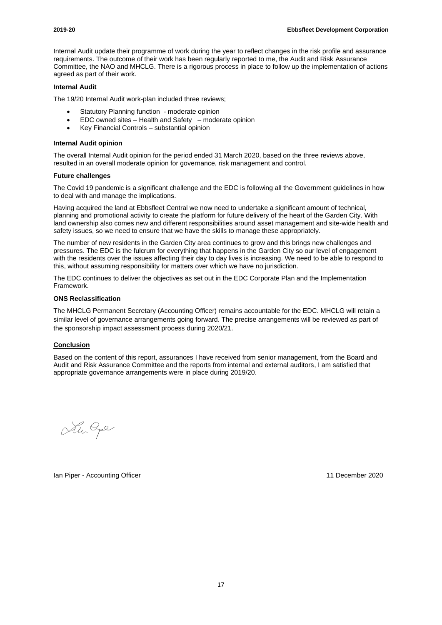Internal Audit update their programme of work during the year to reflect changes in the risk profile and assurance requirements. The outcome of their work has been regularly reported to me, the Audit and Risk Assurance Committee, the NAO and MHCLG. There is a rigorous process in place to follow up the implementation of actions agreed as part of their work.

## **Internal Audit**

The 19/20 Internal Audit work-plan included three reviews;

- Statutory Planning function moderate opinion
- EDC owned sites Health and Safety moderate opinion
- Key Financial Controls substantial opinion

#### **Internal Audit opinion**

The overall Internal Audit opinion for the period ended 31 March 2020, based on the three reviews above, resulted in an overall moderate opinion for governance, risk management and control.

### **Future challenges**

The Covid 19 pandemic is a significant challenge and the EDC is following all the Government guidelines in how to deal with and manage the implications.

Having acquired the land at Ebbsfleet Central we now need to undertake a significant amount of technical, planning and promotional activity to create the platform for future delivery of the heart of the Garden City. With land ownership also comes new and different responsibilities around asset management and site-wide health and safety issues, so we need to ensure that we have the skills to manage these appropriately.

The number of new residents in the Garden City area continues to grow and this brings new challenges and pressures. The EDC is the fulcrum for everything that happens in the Garden City so our level of engagement with the residents over the issues affecting their day to day lives is increasing. We need to be able to respond to this, without assuming responsibility for matters over which we have no jurisdiction.

The EDC continues to deliver the objectives as set out in the EDC Corporate Plan and the Implementation Framework.

## **ONS Reclassification**

The MHCLG Permanent Secretary (Accounting Officer) remains accountable for the EDC. MHCLG will retain a similar level of governance arrangements going forward. The precise arrangements will be reviewed as part of the sponsorship impact assessment process during 2020/21.

## **Conclusion**

Based on the content of this report, assurances I have received from senior management, from the Board and Audit and Risk Assurance Committee and the reports from internal and external auditors, I am satisfied that appropriate governance arrangements were in place during 2019/20.

Lu Cpe

Ian Piper - Accounting Officer 11 December 2020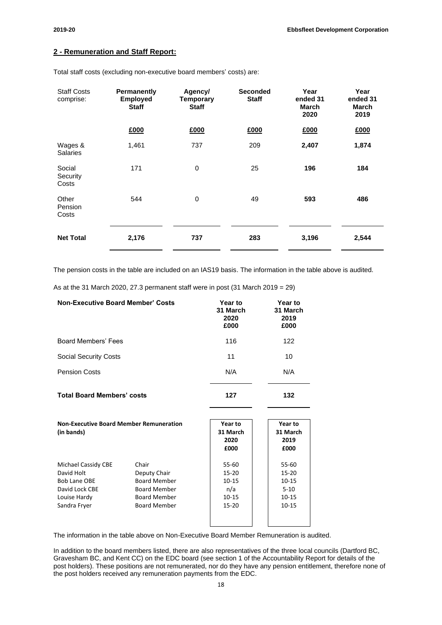# **2 - Remuneration and Staff Report:**

Total staff costs (excluding non-executive board members' costs) are:

| <b>Staff Costs</b><br>comprise: | <b>Permanently</b><br><b>Employed</b><br><b>Staff</b> | Agency/<br>Temporary<br><b>Staff</b> | <b>Seconded</b><br><b>Staff</b> | Year<br>ended 31<br><b>March</b><br>2020 | Year<br>ended 31<br><b>March</b><br>2019 |
|---------------------------------|-------------------------------------------------------|--------------------------------------|---------------------------------|------------------------------------------|------------------------------------------|
|                                 | £000                                                  | £000                                 | £000                            | £000                                     | £000                                     |
| Wages &<br><b>Salaries</b>      | 1,461                                                 | 737                                  | 209                             | 2,407                                    | 1,874                                    |
| Social<br>Security<br>Costs     | 171                                                   | 0                                    | 25                              | 196                                      | 184                                      |
| Other<br>Pension<br>Costs       | 544                                                   | 0                                    | 49                              | 593                                      | 486                                      |
| <b>Net Total</b>                | 2,176                                                 | 737                                  | 283                             | 3,196                                    | 2,544                                    |

The pension costs in the table are included on an IAS19 basis. The information in the table above is audited.

As at the 31 March 2020, 27.3 permanent staff were in post (31 March 2019 = 29)

| <b>Non-Executive Board Member' Costs</b>                                                                   |                                                                                                                   | Year to<br>31 March<br>2020<br>£000                      | Year to<br>31 March<br>2019<br>£000                                       |
|------------------------------------------------------------------------------------------------------------|-------------------------------------------------------------------------------------------------------------------|----------------------------------------------------------|---------------------------------------------------------------------------|
| Board Members' Fees                                                                                        |                                                                                                                   | 116                                                      | 122                                                                       |
| <b>Social Security Costs</b>                                                                               |                                                                                                                   | 11                                                       | 10                                                                        |
| <b>Pension Costs</b>                                                                                       |                                                                                                                   | N/A                                                      | N/A                                                                       |
| <b>Total Board Members' costs</b>                                                                          |                                                                                                                   | 127                                                      | 132                                                                       |
| <b>Non-Executive Board Member Remuneration</b><br>(in bands)                                               |                                                                                                                   | Year to<br>31 March<br>2020<br>£000                      | Year to<br>31 March<br>2019<br>£000                                       |
| Michael Cassidy CBE<br>David Holt<br><b>Bob Lane OBE</b><br>David Lock CBE<br>Louise Hardy<br>Sandra Fryer | Chair<br>Deputy Chair<br><b>Board Member</b><br><b>Board Member</b><br><b>Board Member</b><br><b>Board Member</b> | 55-60<br>15-20<br>$10 - 15$<br>n/a<br>$10 - 15$<br>15-20 | $55 - 60$<br>$15 - 20$<br>$10 - 15$<br>$5 - 10$<br>$10 - 15$<br>$10 - 15$ |

The information in the table above on Non-Executive Board Member Remuneration is audited.

In addition to the board members listed, there are also representatives of the three local councils (Dartford BC, Gravesham BC, and Kent CC) on the EDC board (see section 1 of the Accountability Report for details of the post holders). These positions are not remunerated, nor do they have any pension entitlement, therefore none of the post holders received any remuneration payments from the EDC.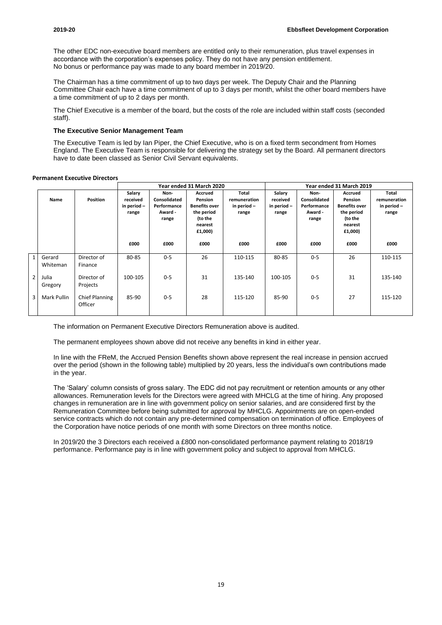The other EDC non-executive board members are entitled only to their remuneration, plus travel expenses in accordance with the corporation's expenses policy. They do not have any pension entitlement. No bonus or performance pay was made to any board member in 2019/20.

The Chairman has a time commitment of up to two days per week. The Deputy Chair and the Planning Committee Chair each have a time commitment of up to 3 days per month, whilst the other board members have a time commitment of up to 2 days per month.

The Chief Executive is a member of the board, but the costs of the role are included within staff costs (seconded staff).

## **The Executive Senior Management Team**

The Executive Team is led by Ian Piper, the Chief Executive, who is on a fixed term secondment from Homes England. The Executive Team is responsible for delivering the strategy set by the Board. All permanent directors have to date been classed as Senior Civil Servant equivalents.

#### **Permanent Executive Directors**

|                |                    |                           |                                            | Year ended 31 March 2020                                |                                                                                           |                                               |                                            | Year ended 31 March 2019                                |                                                                                           |                                               |  |
|----------------|--------------------|---------------------------|--------------------------------------------|---------------------------------------------------------|-------------------------------------------------------------------------------------------|-----------------------------------------------|--------------------------------------------|---------------------------------------------------------|-------------------------------------------------------------------------------------------|-----------------------------------------------|--|
|                | Name               | Position                  | Salary<br>received<br>in period -<br>range | Non-<br>Consolidated<br>Performance<br>Award -<br>range | Accrued<br>Pension<br><b>Benefits over</b><br>the period<br>(to the<br>nearest<br>£1,000) | Total<br>remuneration<br>in period -<br>range | Salary<br>received<br>in period -<br>range | Non-<br>Consolidated<br>Performance<br>Award -<br>range | Accrued<br>Pension<br><b>Benefits over</b><br>the period<br>(to the<br>nearest<br>£1,000) | Total<br>remuneration<br>in period -<br>range |  |
|                |                    |                           | £000                                       | £000                                                    | £000                                                                                      | £000                                          | £000                                       | £000                                                    | £000                                                                                      | £000                                          |  |
|                | Gerard<br>Whiteman | Director of<br>Finance    | 80-85                                      | $0 - 5$                                                 | 26                                                                                        | 110-115                                       | 80-85                                      | $0 - 5$                                                 | 26                                                                                        | 110-115                                       |  |
| $\overline{2}$ | Julia<br>Gregory   | Director of<br>Projects   | 100-105                                    | $0 - 5$                                                 | 31                                                                                        | 135-140                                       | 100-105                                    | $0-5$                                                   | 31                                                                                        | 135-140                                       |  |
| 3              | <b>Mark Pullin</b> | Chief Planning<br>Officer | 85-90                                      | $0 - 5$                                                 | 28                                                                                        | 115-120                                       | 85-90                                      | $0 - 5$                                                 | 27                                                                                        | 115-120                                       |  |

The information on Permanent Executive Directors Remuneration above is audited.

The permanent employees shown above did not receive any benefits in kind in either year.

In line with the FReM, the Accrued Pension Benefits shown above represent the real increase in pension accrued over the period (shown in the following table) multiplied by 20 years, less the individual's own contributions made in the year.

The 'Salary' column consists of gross salary. The EDC did not pay recruitment or retention amounts or any other allowances. Remuneration levels for the Directors were agreed with MHCLG at the time of hiring. Any proposed changes in remuneration are in line with government policy on senior salaries, and are considered first by the Remuneration Committee before being submitted for approval by MHCLG. Appointments are on open-ended service contracts which do not contain any pre-determined compensation on termination of office. Employees of the Corporation have notice periods of one month with some Directors on three months notice.

In 2019/20 the 3 Directors each received a £800 non-consolidated performance payment relating to 2018/19 performance. Performance pay is in line with government policy and subject to approval from MHCLG.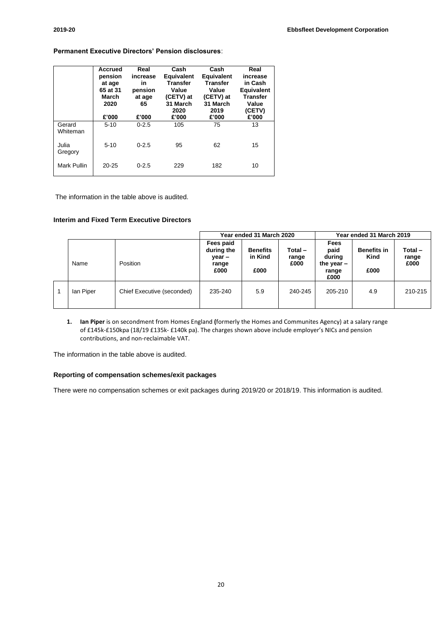## **Permanent Executive Directors' Pension disclosures**:

|                    | Accrued<br>pension<br>at age<br>65 at 31<br>March<br>2020<br>£'000 | Real<br>increase<br>in<br>pension<br>at age<br>65<br>£'000 | Cash<br>Equivalent<br><b>Transfer</b><br>Value<br>(CETV) at<br>31 March<br>2020<br>£'000 | Cash<br><b>Equivalent</b><br><b>Transfer</b><br>Value<br>(CETV) at<br>31 March<br>2019<br>£'000 | Real<br>increase<br>in Cash<br>Equivalent<br><b>Transfer</b><br>Value<br>(CETV)<br>£'000 |
|--------------------|--------------------------------------------------------------------|------------------------------------------------------------|------------------------------------------------------------------------------------------|-------------------------------------------------------------------------------------------------|------------------------------------------------------------------------------------------|
| Gerard<br>Whiteman | $5 - 10$                                                           | $0 - 2.5$                                                  | 105                                                                                      | 75                                                                                              | 13                                                                                       |
| Julia<br>Gregory   | $5 - 10$                                                           | $0 - 2.5$                                                  | 95                                                                                       | 62                                                                                              | 15                                                                                       |
| Mark Pullin        | $20 - 25$                                                          | $0 - 2.5$                                                  | 229                                                                                      | 182                                                                                             | 10                                                                                       |

The information in the table above is audited.

# **Interim and Fixed Term Executive Directors**

|           |                            | Year ended 31 March 2020                             |                                    | Year ended 31 March 2019 |                                                         |                                    |                            |
|-----------|----------------------------|------------------------------------------------------|------------------------------------|--------------------------|---------------------------------------------------------|------------------------------------|----------------------------|
| Name      | Position                   | Fees paid<br>during the<br>$vear -$<br>range<br>£000 | <b>Benefits</b><br>in Kind<br>£000 | Total-<br>range<br>£000  | Fees<br>paid<br>during<br>the year $-$<br>range<br>£000 | <b>Benefits in</b><br>Kind<br>£000 | $Total -$<br>range<br>£000 |
| lan Piper | Chief Executive (seconded) | 235-240                                              | 5.9                                | 240-245                  | 205-210                                                 | 4.9                                | 210-215                    |

**1. Ian Piper** is on secondment from Homes England **(**formerly the Homes and Communites Agency) at a salary range of £145k-£150kpa (18/19 £135k- £140k pa). The charges shown above include employer's NICs and pension contributions, and non-reclaimable VAT.

The information in the table above is audited.

# **Reporting of compensation schemes/exit packages**

There were no compensation schemes or exit packages during 2019/20 or 2018/19. This information is audited.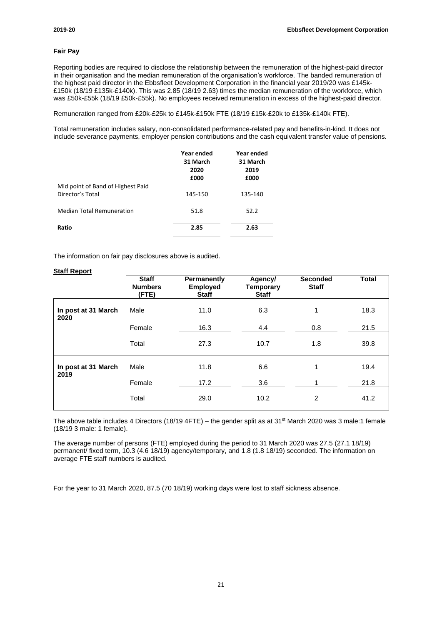## **Fair Pay**

Reporting bodies are required to disclose the relationship between the remuneration of the highest-paid director in their organisation and the median remuneration of the organisation's workforce. The banded remuneration of the highest paid director in the Ebbsfleet Development Corporation in the financial year 2019/20 was £145k- £150k (18/19 £135k-£140k). This was 2.85 (18/19 2.63) times the median remuneration of the workforce, which was £50k-£55k (18/19 £50k-£55k). No employees received remuneration in excess of the highest-paid director.

Remuneration ranged from £20k-£25k to £145k-£150k FTE (18/19 £15k-£20k to £135k-£140k FTE).

Total remuneration includes salary, non-consolidated performance-related pay and benefits-in-kind. It does not include severance payments, employer pension contributions and the cash equivalent transfer value of pensions.

|                                                       | Year ended<br>31 March<br>2020<br>£000 | Year ended<br>31 March<br>2019<br>£000 |
|-------------------------------------------------------|----------------------------------------|----------------------------------------|
| Mid point of Band of Highest Paid<br>Director's Total | 145-150                                | 135-140                                |
| <b>Median Total Remuneration</b>                      | 51.8                                   | 52.2                                   |
| Ratio                                                 | 2.85                                   | 2.63                                   |

The information on fair pay disclosures above is audited.

#### **Staff Report**

|                             | <b>Staff</b><br><b>Numbers</b><br>(FTE) | <b>Permanently</b><br><b>Employed</b><br><b>Staff</b> | Agency/<br><b>Temporary</b><br><b>Staff</b> | <b>Seconded</b><br><b>Staff</b> | <b>Total</b> |
|-----------------------------|-----------------------------------------|-------------------------------------------------------|---------------------------------------------|---------------------------------|--------------|
| In post at 31 March<br>2020 | Male                                    | 11.0                                                  | 6.3                                         | 1                               | 18.3         |
|                             | Female                                  | 16.3                                                  | 4.4                                         | 0.8                             | 21.5         |
|                             | Total                                   | 27.3                                                  | 10.7                                        | 1.8                             | 39.8         |
| In post at 31 March<br>2019 | Male                                    | 11.8                                                  | 6.6                                         | 1                               | 19.4         |
|                             | Female                                  | 17.2                                                  | 3.6                                         | 1                               | 21.8         |
|                             | Total                                   | 29.0                                                  | 10.2                                        | 2                               | 41.2         |

The above table includes 4 Directors (18/19 4FTE) – the gender split as at 31<sup>st</sup> March 2020 was 3 male:1 female (18/19 3 male: 1 female).

The average number of persons (FTE) employed during the period to 31 March 2020 was 27.5 (27.1 18/19) permanent/ fixed term, 10.3 (4.6 18/19) agency/temporary, and 1.8 (1.8 18/19) seconded. The information on average FTE staff numbers is audited.

For the year to 31 March 2020, 87.5 (70 18/19) working days were lost to staff sickness absence.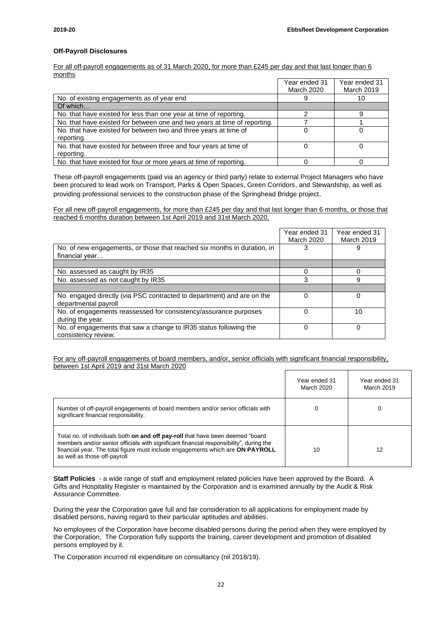## **Off-Payroll Disclosures**

For all off-payroll engagements as of 31 March 2020, for more than £245 per day and that last longer than 6 months

|                                                                           | Year ended 31 | Year ended 31     |
|---------------------------------------------------------------------------|---------------|-------------------|
|                                                                           | March 2020    | <b>March 2019</b> |
| No. of existing engagements as of year end                                |               |                   |
| Of which                                                                  |               |                   |
| No. that have existed for less than one year at time of reporting.        |               |                   |
| No. that have existed for between one and two years at time of reporting. |               |                   |
| No. that have existed for between two and three years at time of          |               |                   |
| reporting.                                                                |               |                   |
| No. that have existed for between three and four years at time of         |               |                   |
| reporting.                                                                |               |                   |
| No. that have existed for four or more years at time of reporting.        |               |                   |

These off-payroll engagements (paid via an agency or third party) relate to external Project Managers who have been procured to lead work on Transport, Parks & Open Spaces, Green Corridors, and Stewardship, as well as providing professional services to the construction phase of the Springhead Bridge project.

For all new off-payroll engagements, for more than £245 per day and that last longer than 6 months, or those that reached 6 months duration between 1st April 2019 and 31st March 2020,

|                                                                          | Year ended 31 | Year ended 31     |
|--------------------------------------------------------------------------|---------------|-------------------|
|                                                                          | March 2020    | <b>March 2019</b> |
| No. of new engagements, or those that reached six months in duration, in | 3             | 9                 |
| financial year                                                           |               |                   |
|                                                                          |               |                   |
| No. assessed as caught by IR35                                           |               |                   |
| No. assessed as not caught by IR35                                       | 3             | 9                 |
|                                                                          |               |                   |
| No. engaged directly (via PSC contracted to department) and are on the   |               | 0                 |
| departmental payroll                                                     |               |                   |
| No. of engagements reassessed for consistency/assurance purposes         |               | 10                |
| during the year.                                                         |               |                   |
| No. of engagements that saw a change to IR35 status following the        | 0             | 0                 |
| consistency review.                                                      |               |                   |

#### For any off-payroll engagements of board members, and/or, senior officials with significant financial responsibility, between 1st April 2019 and 31st March 2020

|                                                                                                                                                                                                                                                                                            | Year ended 31<br>March 2020 | Year ended 31<br>March 2019 |
|--------------------------------------------------------------------------------------------------------------------------------------------------------------------------------------------------------------------------------------------------------------------------------------------|-----------------------------|-----------------------------|
| Number of off-payroll engagements of board members and/or senior officials with<br>significant financial responsibility.                                                                                                                                                                   | 0                           | 0                           |
| Total no. of individuals both on and off pay-roll that have been deemed "board<br>members and/or senior officials with significant financial responsibility", during the<br>financial year. The total figure must include engagements which are ON PAYROLL<br>as well as those off-payroll | 10                          | 12                          |

**Staff Policies** - a wide range of staff and employment related policies have been approved by the Board. A Gifts and Hospitality Register is maintained by the Corporation and is examined annually by the Audit & Risk Assurance Committee.

During the year the Corporation gave full and fair consideration to all applications for employment made by disabled persons, having regard to their particular aptitudes and abilities.

No employees of the Corporation have become disabled persons during the period when they were employed by the Corporation; The Corporation fully supports the training, career development and promotion of disabled persons employed by it.

The Corporation incurred nil expenditure on consultancy (nil 2018/19).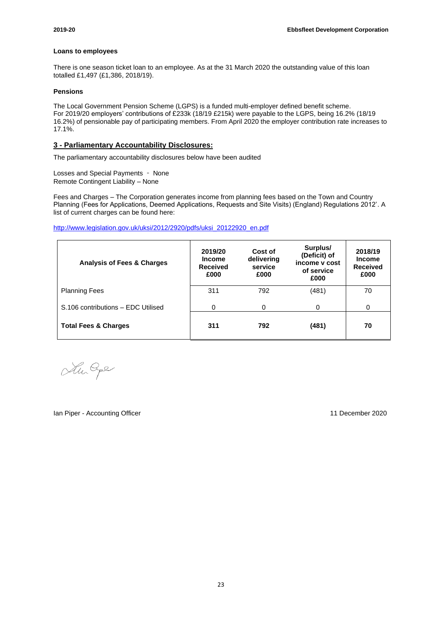## **Loans to employees**

There is one season ticket loan to an employee. As at the 31 March 2020 the outstanding value of this loan totalled £1,497 (£1,386, 2018/19).

## **Pensions**

The Local Government Pension Scheme (LGPS) is a funded multi-employer defined benefit scheme. For 2019/20 employers' contributions of £233k (18/19 £215k) were payable to the LGPS, being 16.2% (18/19 16.2%) of pensionable pay of participating members. From April 2020 the employer contribution rate increases to 17.1%.

## **3 - Parliamentary Accountability Disclosures:**

The parliamentary accountability disclosures below have been audited

Losses and Special Payments – None Remote Contingent Liability – None

Fees and Charges – The Corporation generates income from planning fees based on the Town and Country Planning (Fees for Applications, Deemed Applications, Requests and Site Visits) (England) Regulations 2012'. A list of current charges can be found here:

## [http://www.legislation.gov.uk/uksi/2012/2920/pdfs/uksi\\_20122920\\_en.pdf](http://www.legislation.gov.uk/uksi/2012/2920/pdfs/uksi_20122920_en.pdf)

| <b>Analysis of Fees &amp; Charges</b> | 2019/20<br><b>Income</b><br><b>Received</b><br>£000 | Cost of<br>delivering<br>service<br>£000 | Surplus/<br>(Deficit) of<br>income y cost<br>of service<br>£000 | 2018/19<br><b>Income</b><br><b>Received</b><br>£000 |
|---------------------------------------|-----------------------------------------------------|------------------------------------------|-----------------------------------------------------------------|-----------------------------------------------------|
| <b>Planning Fees</b>                  | 311                                                 | 792                                      | (481)                                                           | 70                                                  |
| S.106 contributions - EDC Utilised    | 0                                                   | 0                                        | 0                                                               | 0                                                   |
| <b>Total Fees &amp; Charges</b>       | 311                                                 | 792                                      | (481)                                                           | 70                                                  |

Lu Ge

Ian Piper - Accounting Officer 11 December 2020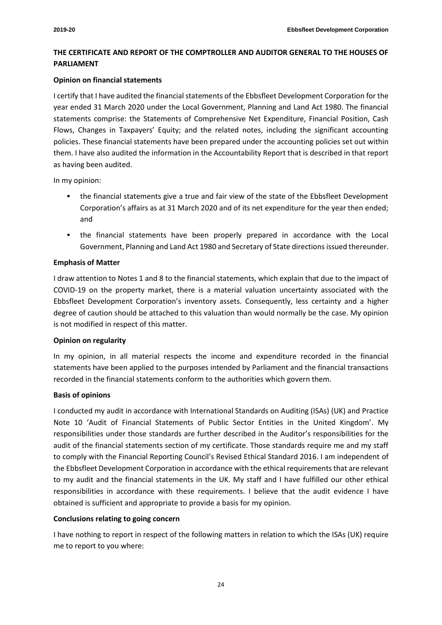# **THE CERTIFICATE AND REPORT OF THE COMPTROLLER AND AUDITOR GENERAL TO THE HOUSES OF PARLIAMENT**

# **Opinion on financial statements**

I certify that I have audited the financial statements of the Ebbsfleet Development Corporation for the year ended 31 March 2020 under the Local Government, Planning and Land Act 1980. The financial statements comprise: the Statements of Comprehensive Net Expenditure, Financial Position, Cash Flows, Changes in Taxpayers' Equity; and the related notes, including the significant accounting policies. These financial statements have been prepared under the accounting policies set out within them. I have also audited the information in the Accountability Report that is described in that report as having been audited.

In my opinion:

- the financial statements give a true and fair view of the state of the Ebbsfleet Development Corporation's affairs as at 31 March 2020 and of its net expenditure for the year then ended; and
- the financial statements have been properly prepared in accordance with the Local Government, Planning and Land Act 1980 and Secretary of State directions issued thereunder.

# **Emphasis of Matter**

I draw attention to Notes 1 and 8 to the financial statements, which explain that due to the impact of COVID-19 on the property market, there is a material valuation uncertainty associated with the Ebbsfleet Development Corporation's inventory assets. Consequently, less certainty and a higher degree of caution should be attached to this valuation than would normally be the case. My opinion is not modified in respect of this matter.

# **Opinion on regularity**

In my opinion, in all material respects the income and expenditure recorded in the financial statements have been applied to the purposes intended by Parliament and the financial transactions recorded in the financial statements conform to the authorities which govern them.

# **Basis of opinions**

I conducted my audit in accordance with International Standards on Auditing (ISAs) (UK) and Practice Note 10 'Audit of Financial Statements of Public Sector Entities in the United Kingdom'. My responsibilities under those standards are further described in the Auditor's responsibilities for the audit of the financial statements section of my certificate. Those standards require me and my staff to comply with the Financial Reporting Council's Revised Ethical Standard 2016. I am independent of the Ebbsfleet Development Corporation in accordance with the ethical requirements that are relevant to my audit and the financial statements in the UK. My staff and I have fulfilled our other ethical responsibilities in accordance with these requirements. I believe that the audit evidence I have obtained is sufficient and appropriate to provide a basis for my opinion.

# **Conclusions relating to going concern**

I have nothing to report in respect of the following matters in relation to which the ISAs (UK) require me to report to you where: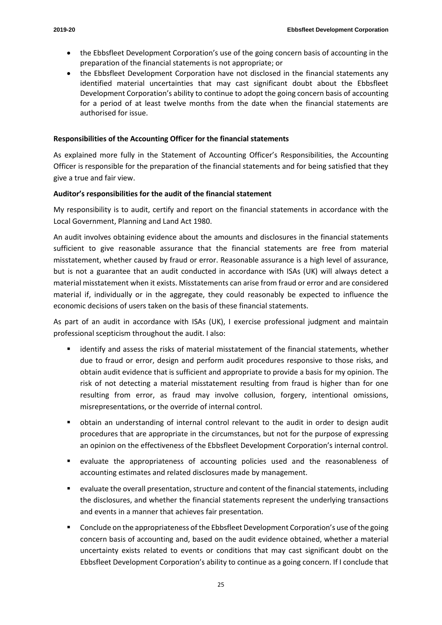- the Ebbsfleet Development Corporation's use of the going concern basis of accounting in the preparation of the financial statements is not appropriate; or
- the Ebbsfleet Development Corporation have not disclosed in the financial statements any identified material uncertainties that may cast significant doubt about the Ebbsfleet Development Corporation's ability to continue to adopt the going concern basis of accounting for a period of at least twelve months from the date when the financial statements are authorised for issue.

# **Responsibilities of the Accounting Officer for the financial statements**

As explained more fully in the Statement of Accounting Officer's Responsibilities, the Accounting Officer is responsible for the preparation of the financial statements and for being satisfied that they give a true and fair view.

# **Auditor's responsibilities for the audit of the financial statement**

My responsibility is to audit, certify and report on the financial statements in accordance with the Local Government, Planning and Land Act 1980.

An audit involves obtaining evidence about the amounts and disclosures in the financial statements sufficient to give reasonable assurance that the financial statements are free from material misstatement, whether caused by fraud or error. Reasonable assurance is a high level of assurance, but is not a guarantee that an audit conducted in accordance with ISAs (UK) will always detect a material misstatement when it exists. Misstatements can arise from fraud or error and are considered material if, individually or in the aggregate, they could reasonably be expected to influence the economic decisions of users taken on the basis of these financial statements.

As part of an audit in accordance with ISAs (UK), I exercise professional judgment and maintain professional scepticism throughout the audit. I also:

- identify and assess the risks of material misstatement of the financial statements, whether due to fraud or error, design and perform audit procedures responsive to those risks, and obtain audit evidence that is sufficient and appropriate to provide a basis for my opinion. The risk of not detecting a material misstatement resulting from fraud is higher than for one resulting from error, as fraud may involve collusion, forgery, intentional omissions, misrepresentations, or the override of internal control.
- obtain an understanding of internal control relevant to the audit in order to design audit procedures that are appropriate in the circumstances, but not for the purpose of expressing an opinion on the effectiveness of the Ebbsfleet Development Corporation's internal control.
- evaluate the appropriateness of accounting policies used and the reasonableness of accounting estimates and related disclosures made by management.
- evaluate the overall presentation, structure and content of the financial statements, including the disclosures, and whether the financial statements represent the underlying transactions and events in a manner that achieves fair presentation.
- Conclude on the appropriateness of the Ebbsfleet Development Corporation's use of the going concern basis of accounting and, based on the audit evidence obtained, whether a material uncertainty exists related to events or conditions that may cast significant doubt on the Ebbsfleet Development Corporation's ability to continue as a going concern. If I conclude that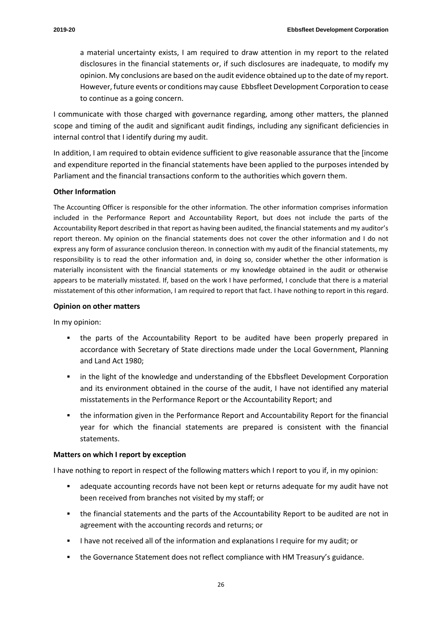a material uncertainty exists, I am required to draw attention in my report to the related disclosures in the financial statements or, if such disclosures are inadequate, to modify my opinion. My conclusions are based on the audit evidence obtained up to the date of my report. However, future events or conditions may cause Ebbsfleet Development Corporation to cease to continue as a going concern.

I communicate with those charged with governance regarding, among other matters, the planned scope and timing of the audit and significant audit findings, including any significant deficiencies in internal control that I identify during my audit.

In addition, I am required to obtain evidence sufficient to give reasonable assurance that the [income and expenditure reported in the financial statements have been applied to the purposes intended by Parliament and the financial transactions conform to the authorities which govern them.

# **Other Information**

The Accounting Officer is responsible for the other information. The other information comprises information included in the Performance Report and Accountability Report, but does not include the parts of the Accountability Report described in that report as having been audited, the financial statements and my auditor's report thereon. My opinion on the financial statements does not cover the other information and I do not express any form of assurance conclusion thereon. In connection with my audit of the financial statements, my responsibility is to read the other information and, in doing so, consider whether the other information is materially inconsistent with the financial statements or my knowledge obtained in the audit or otherwise appears to be materially misstated. If, based on the work I have performed, I conclude that there is a material misstatement of this other information, I am required to report that fact. I have nothing to report in this regard.

# **Opinion on other matters**

In my opinion:

- the parts of the Accountability Report to be audited have been properly prepared in accordance with Secretary of State directions made under the Local Government, Planning and Land Act 1980;
- **.** in the light of the knowledge and understanding of the Ebbsfleet Development Corporation and its environment obtained in the course of the audit, I have not identified any material misstatements in the Performance Report or the Accountability Report; and
- the information given in the Performance Report and Accountability Report for the financial year for which the financial statements are prepared is consistent with the financial statements.

# **Matters on which I report by exception**

I have nothing to report in respect of the following matters which I report to you if, in my opinion:

- adequate accounting records have not been kept or returns adequate for my audit have not been received from branches not visited by my staff; or
- the financial statements and the parts of the Accountability Report to be audited are not in agreement with the accounting records and returns; or
- I have not received all of the information and explanations I require for my audit; or
- the Governance Statement does not reflect compliance with HM Treasury's guidance.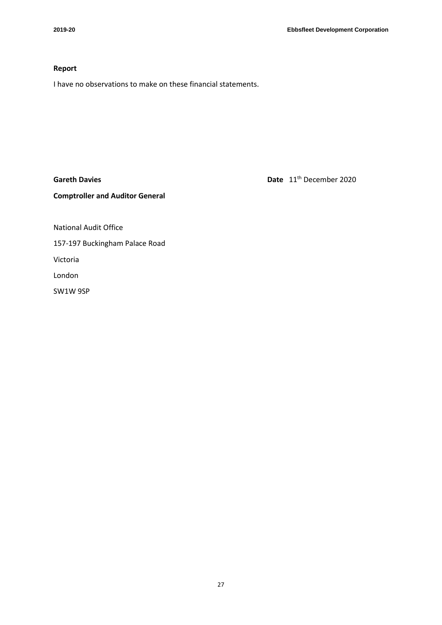# **Report**

I have no observations to make on these financial statements.

**Gareth Davies Careth Davies Date 11<sup>th</sup> December 2020** 

**Comptroller and Auditor General**

National Audit Office

157-197 Buckingham Palace Road

Victoria

London

SW1W 9SP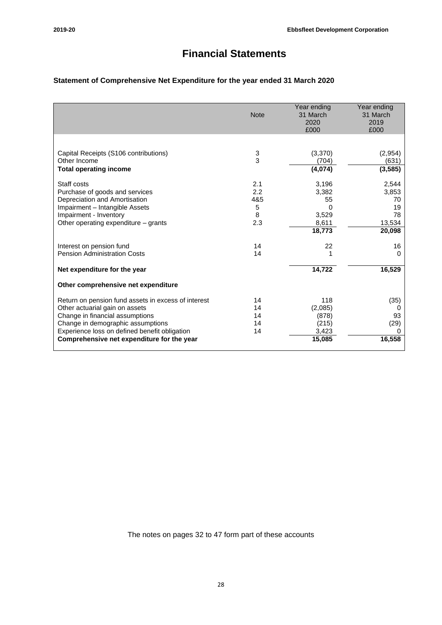# **Financial Statements**

# **Statement of Comprehensive Net Expenditure for the year ended 31 March 2020**

|                                                                 | <b>Note</b> | Year ending<br>31 March<br>2020<br>£000 | Year ending<br>31 March<br>2019<br>£000 |
|-----------------------------------------------------------------|-------------|-----------------------------------------|-----------------------------------------|
|                                                                 |             |                                         |                                         |
| Capital Receipts (S106 contributions)                           | 3           | (3,370)                                 | (2,954)                                 |
| Other Income                                                    | 3           | (704)                                   | (631)                                   |
| <b>Total operating income</b>                                   |             | (4,074)                                 | (3, 585)                                |
| Staff costs                                                     | 2.1         |                                         |                                         |
|                                                                 | 2.2         | 3,196<br>3,382                          | 2,544                                   |
| Purchase of goods and services<br>Depreciation and Amortisation | 4&5         | 55                                      | 3,853<br>70                             |
| Impairment - Intangible Assets                                  | 5           | 0                                       | 19                                      |
| Impairment - Inventory                                          | 8           | 3,529                                   | 78                                      |
| Other operating expenditure – grants                            | 2.3         | 8,611                                   | 13,534                                  |
|                                                                 |             | 18,773                                  | 20,098                                  |
| Interest on pension fund                                        | 14          | 22                                      | 16                                      |
| <b>Pension Administration Costs</b>                             | 14          |                                         | $\Omega$                                |
| Net expenditure for the year                                    |             | 14,722                                  | 16,529                                  |
|                                                                 |             |                                         |                                         |
| Other comprehensive net expenditure                             |             |                                         |                                         |
| Return on pension fund assets in excess of interest             | 14          | 118                                     | (35)                                    |
| Other actuarial gain on assets                                  | 14          | (2,085)                                 | 0                                       |
| Change in financial assumptions                                 | 14          | (878)                                   | 93                                      |
| Change in demographic assumptions                               | 14          | (215)                                   | (29)                                    |
| Experience loss on defined benefit obligation                   | 14          | 3,423                                   | 0                                       |
| Comprehensive net expenditure for the year                      |             | 15,085                                  | 16,558                                  |
|                                                                 |             |                                         |                                         |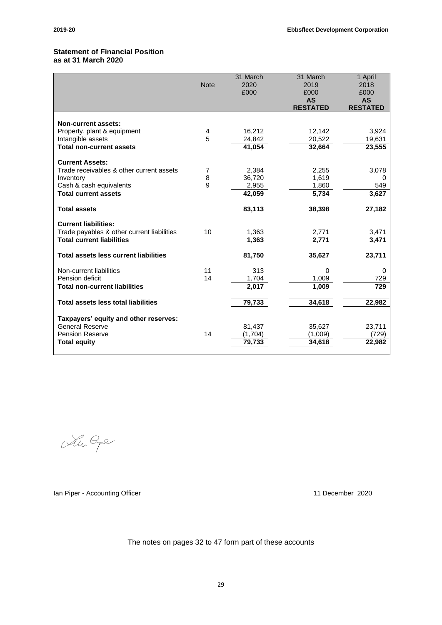# **Statement of Financial Position as at 31 March 2020**

|                                                                    |             | 31 March | 31 March        | 1 April         |
|--------------------------------------------------------------------|-------------|----------|-----------------|-----------------|
|                                                                    | <b>Note</b> | 2020     | 2019            | 2018            |
|                                                                    |             | £000     | £000            | £000            |
|                                                                    |             |          | <b>AS</b>       | <b>AS</b>       |
|                                                                    |             |          | <b>RESTATED</b> | <b>RESTATED</b> |
|                                                                    |             |          |                 |                 |
| Non-current assets:                                                |             |          |                 |                 |
| Property, plant & equipment                                        | 4           | 16,212   | 12,142          | 3,924           |
| Intangible assets                                                  | 5           | 24,842   | 20,522          | 19,631          |
|                                                                    |             |          |                 |                 |
| <b>Total non-current assets</b>                                    |             | 41,054   | 32,664          | 23,555          |
|                                                                    |             |          |                 |                 |
| <b>Current Assets:</b><br>Trade receivables & other current assets |             |          |                 |                 |
|                                                                    | 7           | 2,384    | 2,255           | 3,078           |
| Inventory                                                          | 8           | 36,720   | 1,619           | 0               |
| Cash & cash equivalents                                            | 9           | 2,955    | 1,860           | 549             |
| <b>Total current assets</b>                                        |             | 42,059   | 5,734           | 3,627           |
|                                                                    |             |          |                 |                 |
| <b>Total assets</b>                                                |             | 83,113   | 38,398          | 27,182          |
|                                                                    |             |          |                 |                 |
| <b>Current liabilities:</b>                                        |             |          |                 |                 |
| Trade payables & other current liabilities                         | 10          | 1,363    | 2,771           | 3,471           |
| <b>Total current liabilities</b>                                   |             | 1,363    | 2,771           | 3,471           |
|                                                                    |             |          |                 |                 |
| <b>Total assets less current liabilities</b>                       |             | 81,750   | 35,627          | 23,711          |
| Non-current liabilities                                            | 11          | 313      | $\Omega$        | 0               |
| Pension deficit                                                    | 14          | 1,704    | 1,009           | 729             |
| <b>Total non-current liabilities</b>                               |             |          |                 | 729             |
|                                                                    |             | 2,017    | 1,009           |                 |
| <b>Total assets less total liabilities</b>                         |             |          |                 |                 |
|                                                                    |             | 79,733   | 34,618          | 22,982          |
|                                                                    |             |          |                 |                 |
| Taxpayers' equity and other reserves:                              |             |          |                 |                 |
| <b>General Reserve</b>                                             |             | 81,437   | 35.627          | 23,711          |
| <b>Pension Reserve</b>                                             | 14          | (1,704)  | (1,009)         | (729)           |
| <b>Total equity</b>                                                |             | 79,733   | 34,618          | 22,982          |
|                                                                    |             |          |                 |                 |

Am Ge

Ian Piper - Accounting Officer 11 December 2020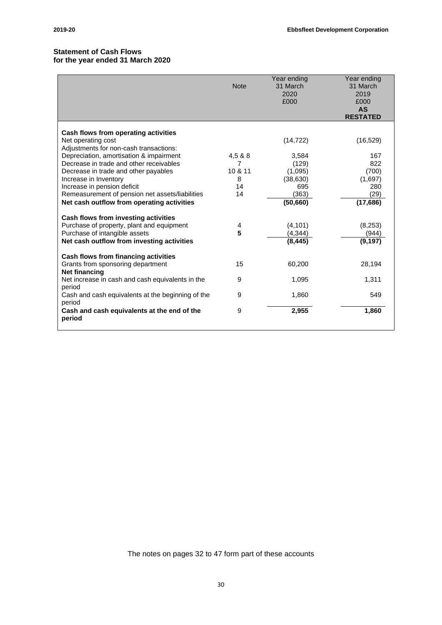# **Statement of Cash Flows for the year ended 31 March 2020**

|                                                                                                      | <b>Note</b> | Year ending<br>31 March<br>2020<br>£000 | Year ending<br>31 March<br>2019<br>£000<br><b>AS</b><br><b>RESTATED</b> |
|------------------------------------------------------------------------------------------------------|-------------|-----------------------------------------|-------------------------------------------------------------------------|
| Cash flows from operating activities<br>Net operating cost<br>Adjustments for non-cash transactions: |             | (14, 722)                               | (16, 529)                                                               |
| Depreciation, amortisation & impairment                                                              | 4,5 & 8     | 3,584                                   | 167                                                                     |
| Decrease in trade and other receivables                                                              | 7           | (129)                                   | 822                                                                     |
| Decrease in trade and other payables                                                                 | 10 & 11     | (1,095)                                 | (700)                                                                   |
| Increase in Inventory                                                                                | 8           | (38, 630)                               | (1,697)                                                                 |
| Increase in pension deficit                                                                          | 14          | 695                                     | 280                                                                     |
| Remeasurement of pension net assets/liabilities                                                      | 14          | (363)                                   | (29)<br>(17, 686)                                                       |
| Net cash outflow from operating activities                                                           |             | (50, 660)                               |                                                                         |
| Cash flows from investing activities                                                                 |             |                                         |                                                                         |
| Purchase of property, plant and equipment                                                            | 4           | (4, 101)                                | (8,253)                                                                 |
| Purchase of intangible assets                                                                        | 5           | (4, 344)                                | (944)                                                                   |
| Net cash outflow from investing activities                                                           |             | (8, 445)                                | (9, 197)                                                                |
| Cash flows from financing activities                                                                 |             |                                         |                                                                         |
| Grants from sponsoring department                                                                    | 15          | 60,200                                  | 28,194                                                                  |
| <b>Net financing</b>                                                                                 |             |                                         |                                                                         |
| Net increase in cash and cash equivalents in the                                                     | 9           | 1,095                                   | 1,311                                                                   |
| period                                                                                               |             |                                         |                                                                         |
| Cash and cash equivalents at the beginning of the                                                    | 9           | 1,860                                   | 549                                                                     |
| period                                                                                               |             |                                         |                                                                         |
| Cash and cash equivalents at the end of the                                                          | 9           | 2,955                                   | 1,860                                                                   |
| period                                                                                               |             |                                         |                                                                         |
|                                                                                                      |             |                                         |                                                                         |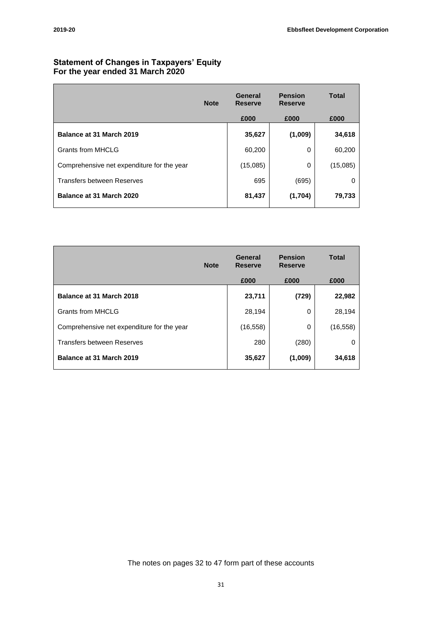# **Statement of Changes in Taxpayers' Equity For the year ended 31 March 2020**

|                                            | <b>Note</b> | General<br><b>Reserve</b> | <b>Pension</b><br><b>Reserve</b> | <b>Total</b> |
|--------------------------------------------|-------------|---------------------------|----------------------------------|--------------|
|                                            |             | £000                      | £000                             | £000         |
| <b>Balance at 31 March 2019</b>            |             | 35,627                    | (1,009)                          | 34,618       |
| <b>Grants from MHCLG</b>                   |             | 60,200                    | 0                                | 60,200       |
| Comprehensive net expenditure for the year |             | (15,085)                  | 0                                | (15,085)     |
| <b>Transfers between Reserves</b>          |             | 695                       | (695)                            | 0            |
| Balance at 31 March 2020                   |             | 81,437                    | (1,704)                          | 79,733       |

|                                            | <b>Note</b> | General<br><b>Reserve</b> | <b>Pension</b><br><b>Reserve</b> | <b>Total</b> |
|--------------------------------------------|-------------|---------------------------|----------------------------------|--------------|
|                                            |             | £000                      | £000                             | £000         |
| Balance at 31 March 2018                   |             | 23,711                    | (729)                            | 22,982       |
| <b>Grants from MHCLG</b>                   |             | 28,194                    | 0                                | 28,194       |
| Comprehensive net expenditure for the year |             | (16, 558)                 | 0                                | (16, 558)    |
| <b>Transfers between Reserves</b>          |             | 280                       | (280)                            | $\Omega$     |
| <b>Balance at 31 March 2019</b>            |             | 35,627                    | (1,009)                          | 34,618       |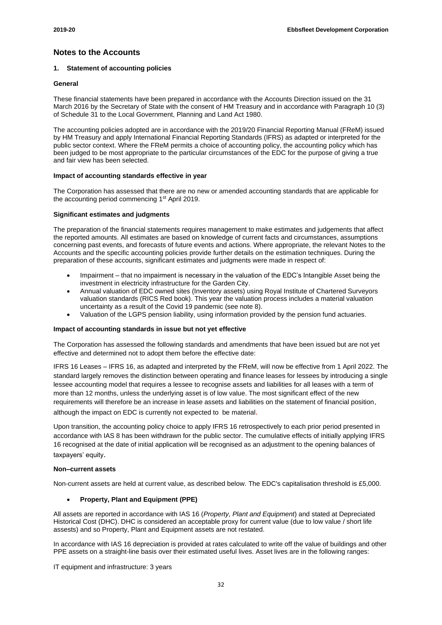# **Notes to the Accounts**

## **1. Statement of accounting policies**

## **General**

These financial statements have been prepared in accordance with the Accounts Direction issued on the 31 March 2016 by the Secretary of State with the consent of HM Treasury and in accordance with Paragraph 10 (3) of Schedule 31 to the Local Government, Planning and Land Act 1980.

The accounting policies adopted are in accordance with the 2019/20 Financial Reporting Manual (FReM) issued by HM Treasury and apply International Financial Reporting Standards (IFRS) as adapted or interpreted for the public sector context. Where the FReM permits a choice of accounting policy, the accounting policy which has been judged to be most appropriate to the particular circumstances of the EDC for the purpose of giving a true and fair view has been selected.

## **Impact of accounting standards effective in year**

The Corporation has assessed that there are no new or amended accounting standards that are applicable for the accounting period commencing 1<sup>st</sup> April 2019.

## **Significant estimates and judgments**

The preparation of the financial statements requires management to make estimates and judgements that affect the reported amounts. All estimates are based on knowledge of current facts and circumstances, assumptions concerning past events, and forecasts of future events and actions. Where appropriate, the relevant Notes to the Accounts and the specific accounting policies provide further details on the estimation techniques. During the preparation of these accounts, significant estimates and judgments were made in respect of:

- Impairment that no impairment is necessary in the valuation of the EDC's Intangible Asset being the investment in electricity infrastructure for the Garden City.
- Annual valuation of EDC owned sites (Inventory assets) using Royal Institute of Chartered Surveyors valuation standards (RICS Red book). This year the valuation process includes a material valuation uncertainty as a result of the Covid 19 pandemic (see note 8).
- Valuation of the LGPS pension liability, using information provided by the pension fund actuaries.

## **Impact of accounting standards in issue but not yet effective**

The Corporation has assessed the following standards and amendments that have been issued but are not yet effective and determined not to adopt them before the effective date:

IFRS 16 Leases – IFRS 16, as adapted and interpreted by the FReM, will now be effective from 1 April 2022. The standard largely removes the distinction between operating and finance leases for lessees by introducing a single lessee accounting model that requires a lessee to recognise assets and liabilities for all leases with a term of more than 12 months, unless the underlying asset is of low value. The most significant effect of the new requirements will therefore be an increase in lease assets and liabilities on the statement of financial position, although the impact on EDC is currently not expected to be material.

Upon transition, the accounting policy choice to apply IFRS 16 retrospectively to each prior period presented in accordance with IAS 8 has been withdrawn for the public sector. The cumulative effects of initially applying IFRS 16 recognised at the date of initial application will be recognised as an adjustment to the opening balances of taxpayers' equity.

## **Non–current assets**

Non-current assets are held at current value, as described below. The EDC's capitalisation threshold is £5,000.

## • **Property, Plant and Equipment (PPE)**

All assets are reported in accordance with IAS 16 (*Property, Plant and Equipment*) and stated at Depreciated Historical Cost (DHC). DHC is considered an acceptable proxy for current value (due to low value / short life assests) and so Property, Plant and Equipment assets are not restated.

In accordance with IAS 16 depreciation is provided at rates calculated to write off the value of buildings and other PPE assets on a straight-line basis over their estimated useful lives. Asset lives are in the following ranges:

IT equipment and infrastructure: 3 years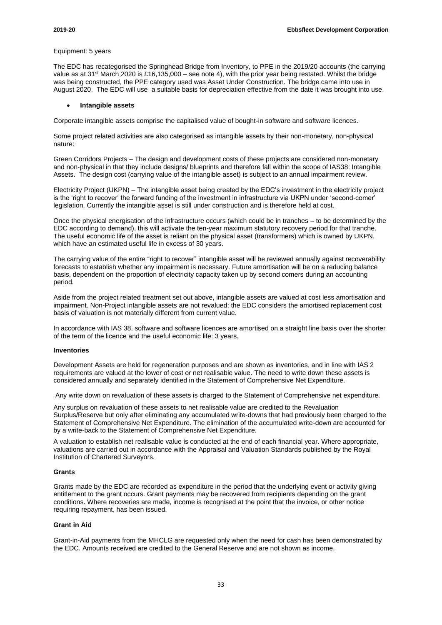## Equipment: 5 years

The EDC has recategorised the Springhead Bridge from Inventory, to PPE in the 2019/20 accounts (the carrying value as at 31st March 2020 is £16,135,000 – see note 4), with the prior year being restated. Whilst the bridge was being constructed, the PPE category used was Asset Under Construction. The bridge came into use in August 2020. The EDC will use a suitable basis for depreciation effective from the date it was brought into use.

## • **Intangible assets**

Corporate intangible assets comprise the capitalised value of bought-in software and software licences.

Some project related activities are also categorised as intangible assets by their non-monetary, non-physical nature:

Green Corridors Projects – The design and development costs of these projects are considered non-monetary and non-physical in that they include designs/ blueprints and therefore fall within the scope of IAS38: Intangible Assets. The design cost (carrying value of the intangible asset) is subject to an annual impairment review.

Electricity Project (UKPN) – The intangible asset being created by the EDC's investment in the electricity project is the 'right to recover' the forward funding of the investment in infrastructure via UKPN under 'second-comer' legislation. Currently the intangible asset is still under construction and is therefore held at cost.

Once the physical energisation of the infrastructure occurs (which could be in tranches – to be determined by the EDC according to demand), this will activate the ten-year maximum statutory recovery period for that tranche. The useful economic life of the asset is reliant on the physical asset (transformers) which is owned by UKPN, which have an estimated useful life in excess of 30 years.

The carrying value of the entire "right to recover" intangible asset will be reviewed annually against recoverability forecasts to establish whether any impairment is necessary. Future amortisation will be on a reducing balance basis, dependent on the proportion of electricity capacity taken up by second comers during an accounting period.

Aside from the project related treatment set out above, intangible assets are valued at cost less amortisation and impairment. Non-Project intangible assets are not revalued; the EDC considers the amortised replacement cost basis of valuation is not materially different from current value.

In accordance with IAS 38, software and software licences are amortised on a straight line basis over the shorter of the term of the licence and the useful economic life: 3 years.

## **Inventories**

Development Assets are held for regeneration purposes and are shown as inventories, and in line with IAS 2 requirements are valued at the lower of cost or net realisable value. The need to write down these assets is considered annually and separately identified in the Statement of Comprehensive Net Expenditure.

Any write down on revaluation of these assets is charged to the Statement of Comprehensive net expenditure.

Any surplus on revaluation of these assets to net realisable value are credited to the Revaluation Surplus/Reserve but only after eliminating any accumulated write-downs that had previously been charged to the Statement of Comprehensive Net Expenditure. The elimination of the accumulated write-down are accounted for by a write-back to the Statement of Comprehensive Net Expenditure.

A valuation to establish net realisable value is conducted at the end of each financial year. Where appropriate, valuations are carried out in accordance with the Appraisal and Valuation Standards published by the Royal Institution of Chartered Surveyors.

## **Grants**

Grants made by the EDC are recorded as expenditure in the period that the underlying event or activity giving entitlement to the grant occurs. Grant payments may be recovered from recipients depending on the grant conditions. Where recoveries are made, income is recognised at the point that the invoice, or other notice requiring repayment, has been issued.

## **Grant in Aid**

Grant-in-Aid payments from the MHCLG are requested only when the need for cash has been demonstrated by the EDC. Amounts received are credited to the General Reserve and are not shown as income.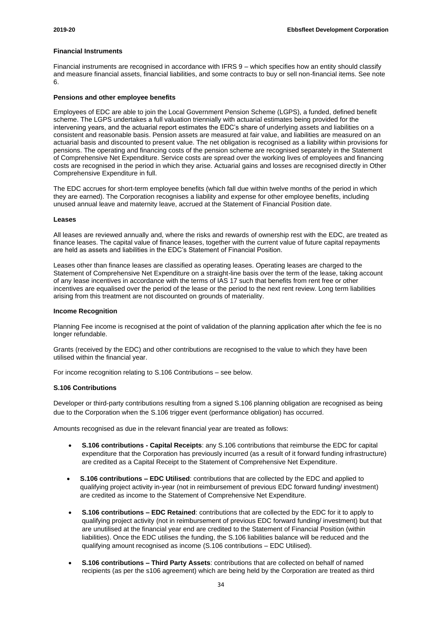## **Financial Instruments**

Financial instruments are recognised in accordance with IFRS 9 – which specifies how an entity should classify and measure financial assets, financial liabilities, and some contracts to buy or sell non-financial items. See note 6.

## **Pensions and other employee benefits**

Employees of EDC are able to join the Local Government Pension Scheme (LGPS), a funded, defined benefit scheme. The LGPS undertakes a full valuation triennially with actuarial estimates being provided for the intervening years, and the actuarial report estimates the EDC's share of underlying assets and liabilities on a consistent and reasonable basis. Pension assets are measured at fair value, and liabilities are measured on an actuarial basis and discounted to present value. The net obligation is recognised as a liability within provisions for pensions. The operating and financing costs of the pension scheme are recognised separately in the Statement of Comprehensive Net Expenditure. Service costs are spread over the working lives of employees and financing costs are recognised in the period in which they arise. Actuarial gains and losses are recognised directly in Other Comprehensive Expenditure in full.

The EDC accrues for short-term employee benefits (which fall due within twelve months of the period in which they are earned). The Corporation recognises a liability and expense for other employee benefits, including unused annual leave and maternity leave, accrued at the Statement of Financial Position date.

## **Leases**

All leases are reviewed annually and, where the risks and rewards of ownership rest with the EDC, are treated as finance leases. The capital value of finance leases, together with the current value of future capital repayments are held as assets and liabilities in the EDC's Statement of Financial Position.

Leases other than finance leases are classified as operating leases. Operating leases are charged to the Statement of Comprehensive Net Expenditure on a straight-line basis over the term of the lease, taking account of any lease incentives in accordance with the terms of IAS 17 such that benefits from rent free or other incentives are equalised over the period of the lease or the period to the next rent review. Long term liabilities arising from this treatment are not discounted on grounds of materiality.

## **Income Recognition**

Planning Fee income is recognised at the point of validation of the planning application after which the fee is no longer refundable.

Grants (received by the EDC) and other contributions are recognised to the value to which they have been utilised within the financial year.

For income recognition relating to S.106 Contributions – see below.

## **S.106 Contributions**

Developer or third-party contributions resulting from a signed S.106 planning obligation are recognised as being due to the Corporation when the S.106 trigger event (performance obligation) has occurred.

Amounts recognised as due in the relevant financial year are treated as follows:

- **S.106 contributions - Capital Receipts**: any S.106 contributions that reimburse the EDC for capital expenditure that the Corporation has previously incurred (as a result of it forward funding infrastructure) are credited as a Capital Receipt to the Statement of Comprehensive Net Expenditure.
- **S.106 contributions – EDC Utilised**: contributions that are collected by the EDC and applied to qualifying project activity in-year (not in reimbursement of previous EDC forward funding/ investment) are credited as income to the Statement of Comprehensive Net Expenditure.
- **S.106 contributions – EDC Retained**: contributions that are collected by the EDC for it to apply to qualifying project activity (not in reimbursement of previous EDC forward funding/ investment) but that are unutilised at the financial year end are credited to the Statement of Financial Position (within liabilities). Once the EDC utilises the funding, the S.106 liabilities balance will be reduced and the qualifying amount recognised as income (S.106 contributions – EDC Utilised).
- **S.106 contributions – Third Party Assets**: contributions that are collected on behalf of named recipients (as per the s106 agreement) which are being held by the Corporation are treated as third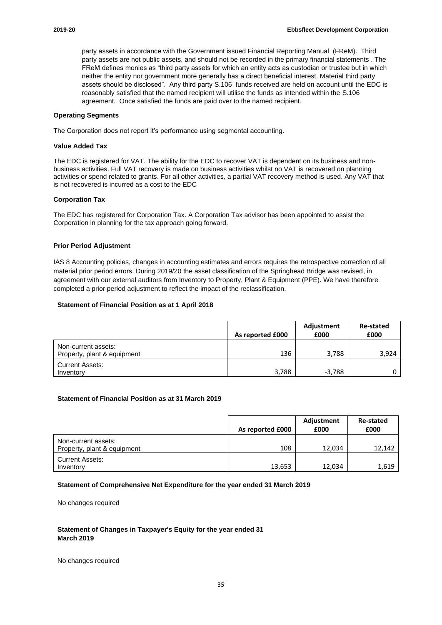party assets in accordance with the Government issued Financial Reporting Manual (FReM). Third party assets are not public assets, and should not be recorded in the primary financial statements . The FReM defines monies as "third party assets for which an entity acts as custodian or trustee but in which neither the entity nor government more generally has a direct beneficial interest. Material third party assets should be disclosed". Any third party S.106 funds received are held on account until the EDC is reasonably satisfied that the named recipient will utilise the funds as intended within the S.106 agreement. Once satisfied the funds are paid over to the named recipient.

## **Operating Segments**

The Corporation does not report it's performance using segmental accounting.

## **Value Added Tax**

The EDC is registered for VAT. The ability for the EDC to recover VAT is dependent on its business and nonbusiness activities. Full VAT recovery is made on business activities whilst no VAT is recovered on planning activities or spend related to grants. For all other activities, a partial VAT recovery method is used. Any VAT that is not recovered is incurred as a cost to the EDC

## **Corporation Tax**

The EDC has registered for Corporation Tax. A Corporation Tax advisor has been appointed to assist the Corporation in planning for the tax approach going forward.

## **Prior Period Adjustment**

IAS 8 Accounting policies, changes in accounting estimates and errors requires the retrospective correction of all material prior period errors. During 2019/20 the asset classification of the Springhead Bridge was revised, in agreement with our external auditors from Inventory to Property, Plant & Equipment (PPE). We have therefore completed a prior period adjustment to reflect the impact of the reclassification.

## **Statement of Financial Position as at 1 April 2018**

|                                                    | As reported £000 | Adjustment<br>£000 | <b>Re-stated</b><br>£000 |
|----------------------------------------------------|------------------|--------------------|--------------------------|
| Non-current assets:<br>Property, plant & equipment | 136              | 3.788              | 3,924                    |
| <b>Current Assets:</b><br>Inventory                | 3,788            | $-3,788$           | 0                        |

# **Statement of Financial Position as at 31 March 2019**

|                                                    | As reported £000 | Adjustment<br>£000 | <b>Re-stated</b><br>£000 |
|----------------------------------------------------|------------------|--------------------|--------------------------|
| Non-current assets:<br>Property, plant & equipment | 108              | 12.034             | 12.142                   |
| <b>Current Assets:</b><br>Inventory                | 13,653           | $-12,034$          | 1,619                    |

#### **Statement of Comprehensive Net Expenditure for the year ended 31 March 2019**

No changes required

# **Statement of Changes in Taxpayer's Equity for the year ended 31 March 2019**

No changes required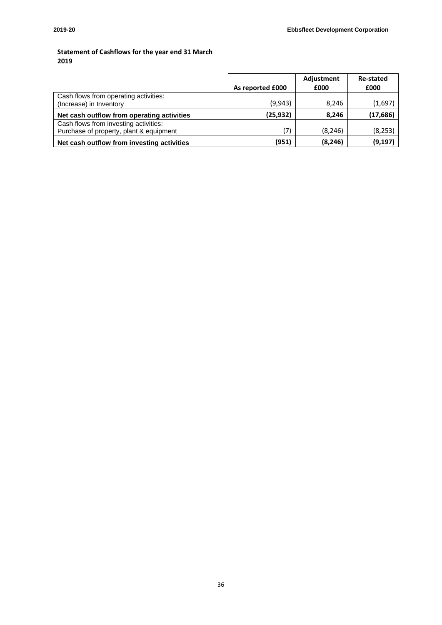# **Statement of Cashflows for the year end 31 March 2019**

|                                            |                  | Adjustment | Re-stated |
|--------------------------------------------|------------------|------------|-----------|
|                                            | As reported £000 | £000       | £000      |
| Cash flows from operating activities:      |                  |            |           |
| (Increase) in Inventory                    | (9,943)          | 8,246      | (1,697)   |
| Net cash outflow from operating activities | (25, 932)        | 8.246      | (17, 686) |
| Cash flows from investing activities:      |                  |            |           |
| Purchase of property, plant & equipment    | (7               | (8, 246)   | (8, 253)  |
| Net cash outflow from investing activities | (951)            | (8, 246)   | (9, 197)  |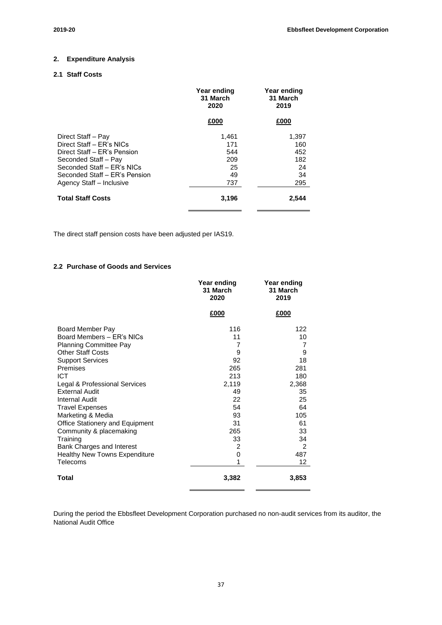# **2. Expenditure Analysis**

# **2.1 Staff Costs**

|                               | Year ending<br>31 March<br>2020 | Year ending<br>31 March<br>2019 |
|-------------------------------|---------------------------------|---------------------------------|
|                               | £000                            | £000                            |
| Direct Staff - Pay            | 1,461                           | 1,397                           |
| Direct Staff - ER's NICs      | 171                             | 160                             |
| Direct Staff - ER's Pension   | 544                             | 452                             |
| Seconded Staff - Pay          | 209                             | 182                             |
| Seconded Staff - ER's NICs    | 25                              | 24                              |
| Seconded Staff - ER's Pension | 49                              | 34                              |
| Agency Staff - Inclusive      | 737                             | 295                             |
| <b>Total Staff Costs</b>      | 3,196                           | 2.544                           |
|                               |                                 |                                 |

The direct staff pension costs have been adjusted per IAS19.

# **2.2 Purchase of Goods and Services**

|                                      | Year ending<br>31 March<br>2020 | Year ending<br>31 March<br>2019 |
|--------------------------------------|---------------------------------|---------------------------------|
|                                      | £000                            | £000                            |
| Board Member Pay                     | 116                             | 122                             |
| Board Members - ER's NICs            | 11                              | 10                              |
| <b>Planning Committee Pay</b>        | 7                               | 7                               |
| <b>Other Staff Costs</b>             | 9                               | 9                               |
| <b>Support Services</b>              | 92                              | 18                              |
| Premises                             | 265                             | 281                             |
| <b>ICT</b>                           | 213                             | 180                             |
| Legal & Professional Services        | 2,119                           | 2,368                           |
| <b>External Audit</b>                | 49                              | 35                              |
| <b>Internal Audit</b>                | 22                              | 25                              |
| <b>Travel Expenses</b>               | 54                              | 64                              |
| Marketing & Media                    | 93                              | 105                             |
| Office Stationery and Equipment      | 31                              | 61                              |
| Community & placemaking              | 265                             | 33                              |
| Training                             | 33                              | 34                              |
| Bank Charges and Interest            | 2                               | 2                               |
| <b>Healthy New Towns Expenditure</b> | 0                               | 487                             |
| Telecoms                             | 1                               | 12                              |
| Total                                | 3,382                           | 3,853                           |

During the period the Ebbsfleet Development Corporation purchased no non-audit services from its auditor, the National Audit Office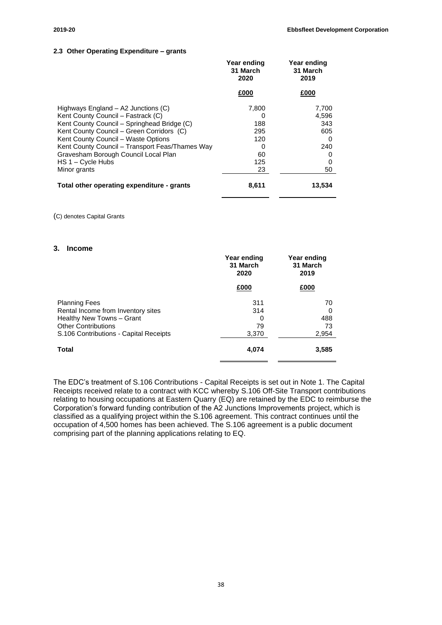# **2.3 Other Operating Expenditure – grants**

|                                                 | Year ending<br>31 March<br>2020 | Year ending<br>31 March<br>2019 |
|-------------------------------------------------|---------------------------------|---------------------------------|
|                                                 | £000                            | £000                            |
| Highways England $-$ A2 Junctions (C)           | 7,800                           | 7,700                           |
| Kent County Council - Fastrack (C)              | $\mathbf{U}$                    | 4,596                           |
| Kent County Council – Springhead Bridge (C)     | 188                             | 343                             |
| Kent County Council – Green Corridors (C)       | 295                             | 605                             |
| Kent County Council - Waste Options             | 120                             | 0                               |
| Kent County Council - Transport Feas/Thames Way | 0                               | 240                             |
| Gravesham Borough Council Local Plan            | 60                              | 0                               |
| HS 1 - Cycle Hubs                               | 125                             | 0                               |
| Minor grants                                    | 23                              | 50                              |
| Total other operating expenditure - grants      | 8,611                           | 13,534                          |

## (C) denotes Capital Grants

## **3. Income**

|                                        | Year ending<br>31 March<br>2020 | Year ending<br>31 March<br>2019 |
|----------------------------------------|---------------------------------|---------------------------------|
|                                        | £000                            | £000                            |
| <b>Planning Fees</b>                   | 311                             | 70                              |
| Rental Income from Inventory sites     | 314                             | 0                               |
| Healthy New Towns - Grant              | 0                               | 488                             |
| <b>Other Contributions</b>             | 79                              | 73                              |
| S.106 Contributions - Capital Receipts | 3,370                           | 2,954                           |
| <b>Total</b>                           | 4,074                           | 3,585                           |

The EDC's treatment of S.106 Contributions - Capital Receipts is set out in Note 1. The Capital Receipts received relate to a contract with KCC whereby S.106 Off-Site Transport contributions relating to housing occupations at Eastern Quarry (EQ) are retained by the EDC to reimburse the Corporation's forward funding contribution of the A2 Junctions Improvements project, which is classified as a qualifying project within the S.106 agreement. This contract continues until the occupation of 4,500 homes has been achieved. The S.106 agreement is a public document comprising part of the planning applications relating to EQ.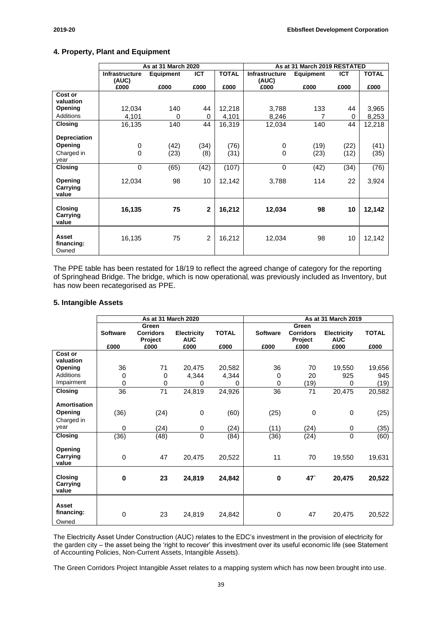|                                     | As at 31 March 2020            |                  |              | As at 31 March 2019 RESTATED |                                |                  |            |              |
|-------------------------------------|--------------------------------|------------------|--------------|------------------------------|--------------------------------|------------------|------------|--------------|
|                                     | <b>Infrastructure</b><br>(AUC) | <b>Equipment</b> | <b>ICT</b>   | <b>TOTAL</b>                 | <b>Infrastructure</b><br>(AUC) | <b>Equipment</b> | <b>ICT</b> | <b>TOTAL</b> |
|                                     | £000                           | £000             | £000         | £000                         | £000                           | £000             | £000       | £000         |
| Cost or                             |                                |                  |              |                              |                                |                  |            |              |
| valuation                           |                                |                  |              |                              |                                |                  |            |              |
| Opening                             | 12,034                         | 140              | 44           | 12,218                       | 3,788                          | 133              | 44         | 3,965        |
| <b>Additions</b>                    | 4.101                          | 0                | 0            | 4,101                        | 8,246                          | 7                | 0          | 8,253        |
| Closing                             | 16,135                         | 140              | 44           | 16,319                       | 12,034                         | 140              | 44         | 12,218       |
| Depreciation                        |                                |                  |              |                              |                                |                  |            |              |
| Opening                             | 0                              | (42)             | (34)         | (76)                         | 0                              | (19)             | (22)       | (41)         |
| Charged in                          | $\Omega$                       | (23)             | (8)          | (31)                         | $\mathbf 0$                    | (23)             | (12)       | (35)         |
| vear                                |                                |                  |              |                              |                                |                  |            |              |
| Closing                             | $\Omega$                       | (65)             | (42)         | (107)                        | $\mathbf 0$                    | (42)             | (34)       | (76)         |
| Opening<br>Carrying<br>value        | 12,034                         | 98               | 10           | 12,142                       | 3,788                          | 114              | 22         | 3,924        |
| <b>Closing</b><br>Carrying<br>value | 16,135                         | 75               | $\mathbf{2}$ | 16,212                       | 12,034                         | 98               | 10         | 12,142       |
| Asset<br>financing:<br>Owned        | 16,135                         | 75               | 2            | 16,212                       | 12,034                         | 98               | 10         | 12,142       |

# **4. Property, Plant and Equipment**

The PPE table has been restated for 18/19 to reflect the agreed change of category for the reporting of Springhead Bridge. The bridge, which is now operational, was previously included as Inventory, but has now been recategorised as PPE.

## **5. Intangible Assets**

|                                     | As at 31 March 2020 |                                      |                                  |              | As at 31 March 2019 |                                      |                           |              |
|-------------------------------------|---------------------|--------------------------------------|----------------------------------|--------------|---------------------|--------------------------------------|---------------------------|--------------|
|                                     | <b>Software</b>     | Green<br><b>Corridors</b><br>Project | <b>Electricity</b><br><b>AUC</b> | <b>TOTAL</b> | <b>Software</b>     | Green<br><b>Corridors</b><br>Project | Electricity<br><b>AUC</b> | <b>TOTAL</b> |
| Cost or                             | £000                | £000                                 | £000                             | £000         | £000                | £000                                 | £000                      | £000         |
| valuation                           |                     |                                      |                                  |              |                     |                                      |                           |              |
| Opening                             | 36                  | 71                                   | 20,475                           | 20,582       | 36                  | 70                                   | 19,550                    | 19,656       |
| Additions                           | $\Omega$            | $\Omega$                             | 4,344                            | 4,344        | 0                   | 20                                   | 925                       | 945          |
| Impairment                          | $\Omega$            | 0                                    | 0                                | 0            | $\Omega$            | (19)                                 | 0                         | (19)         |
| Closing                             | 36                  | 71                                   | 24,819                           | 24,926       | 36                  | 71                                   | 20,475                    | 20,582       |
|                                     |                     |                                      |                                  |              |                     |                                      |                           |              |
| Amortisation                        |                     |                                      |                                  |              |                     |                                      |                           |              |
| Opening                             | (36)                | (24)                                 | $\mathbf 0$                      | (60)         | (25)                | $\mathbf 0$                          | $\mathbf 0$               | (25)         |
| Charged in                          |                     |                                      |                                  |              |                     |                                      |                           |              |
| year                                | $\Omega$            | (24)                                 | 0                                | (24)         | (11)                | (24)                                 | 0                         | (35)         |
| Closing                             | (36)                | (48)                                 | $\mathbf 0$                      | (84)         | (36)                | (24)                                 | $\mathbf 0$               | (60)         |
|                                     |                     |                                      |                                  |              |                     |                                      |                           |              |
| Opening                             |                     |                                      |                                  |              |                     |                                      |                           |              |
| Carrying                            | $\mathbf 0$         | 47                                   | 20,475                           | 20,522       | 11                  | 70                                   | 19,550                    | 19,631       |
| value                               |                     |                                      |                                  |              |                     |                                      |                           |              |
| <b>Closing</b><br>Carrying<br>value | $\bf{0}$            | 23                                   | 24,819                           | 24,842       | $\bf{0}$            | 47                                   | 20,475                    | 20,522       |
| Asset<br>financing:<br>Owned        | 0                   | 23                                   | 24,819                           | 24,842       | 0                   | 47                                   | 20,475                    | 20,522       |

The Electricity Asset Under Construction (AUC) relates to the EDC's investment in the provision of electricity for the garden city – the asset being the 'right to recover' this investment over its useful economic life (see Statement of Accounting Policies, Non-Current Assets, Intangible Assets).

The Green Corridors Project Intangible Asset relates to a mapping system which has now been brought into use.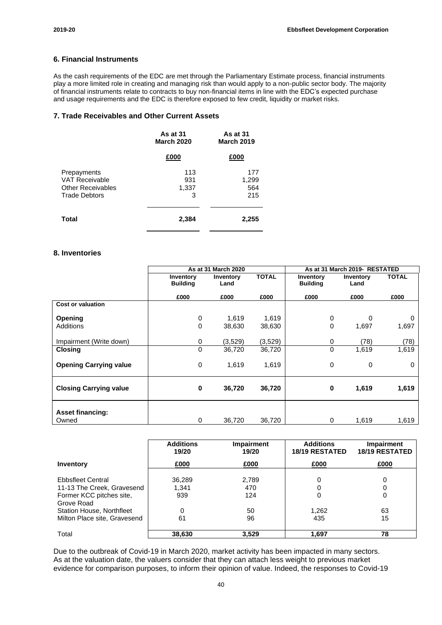# **6. Financial Instruments**

As the cash requirements of the EDC are met through the Parliamentary Estimate process, financial instruments play a more limited role in creating and managing risk than would apply to a non-public sector body. The majority of financial instruments relate to contracts to buy non-financial items in line with the EDC's expected purchase and usage requirements and the EDC is therefore exposed to few credit, liquidity or market risks.

# **7. Trade Receivables and Other Current Assets**

|                                                                                          | As at 31<br><b>March 2020</b> | As at 31<br><b>March 2019</b> |
|------------------------------------------------------------------------------------------|-------------------------------|-------------------------------|
|                                                                                          | £000                          | £000                          |
| Prepayments<br><b>VAT Receivable</b><br><b>Other Receivables</b><br><b>Trade Debtors</b> | 113<br>931<br>1,337<br>3      | 177<br>1,299<br>564<br>215    |
| <b>Total</b>                                                                             | 2,384                         | 2,255                         |

# **8. Inventories**

|                                  |                              | As at 31 March 2020 |                 | As at 31 March 2019- RESTATED |                   |              |
|----------------------------------|------------------------------|---------------------|-----------------|-------------------------------|-------------------|--------------|
|                                  | Inventory<br><b>Building</b> | Inventory<br>Land   | <b>TOTAL</b>    | Inventory<br><b>Building</b>  | Inventory<br>Land | <b>TOTAL</b> |
|                                  | £000                         | £000                | £000            | £000                          | £000              | £000         |
| <b>Cost or valuation</b>         |                              |                     |                 |                               |                   |              |
| Opening<br>Additions             | 0<br>0                       | 1,619<br>38,630     | 1,619<br>38,630 | 0<br>0                        | $\Omega$<br>1,697 | 1,697        |
|                                  |                              |                     |                 |                               |                   |              |
| Impairment (Write down)          | 0                            | (3,529)             | (3,529)         | 0                             | (78)              | (78)         |
| <b>Closing</b>                   | 0                            | 36,720              | 36,720          | 0                             | 1,619             | 1,619        |
| <b>Opening Carrying value</b>    | 0                            | 1,619               | 1,619           | 0                             | 0                 | 0            |
| <b>Closing Carrying value</b>    | 0                            | 36,720              | 36,720          | 0                             | 1,619             | 1,619        |
| <b>Asset financing:</b><br>Owned | 0                            | 36,720              | 36,720          | $\Omega$                      | 1.619             | 1,619        |

|                                                                                                  | <b>Additions</b><br>19/20 | <b>Impairment</b><br>19/20 | <b>Additions</b><br><b>18/19 RESTATED</b> | Impairment<br><b>18/19 RESTATED</b> |
|--------------------------------------------------------------------------------------------------|---------------------------|----------------------------|-------------------------------------------|-------------------------------------|
| Inventory                                                                                        | £000                      | £000                       | £000                                      | £000                                |
| <b>Ebbsfleet Central</b><br>11-13 The Creek, Gravesend<br>Former KCC pitches site,<br>Grove Road | 36,289<br>1.341<br>939    | 2,789<br>470<br>124        | 0<br>0                                    | 0<br>0                              |
| <b>Station House, Northfleet</b><br>Milton Place site, Gravesend                                 | 0<br>61                   | 50<br>96                   | 1.262<br>435                              | 63<br>15                            |
| Total                                                                                            | 38,630                    | 3,529                      | 1,697                                     | 78                                  |

Due to the outbreak of Covid-19 in March 2020, market activity has been impacted in many sectors. As at the valuation date, the valuers consider that they can attach less weight to previous market evidence for comparison purposes, to inform their opinion of value. Indeed, the responses to Covid-19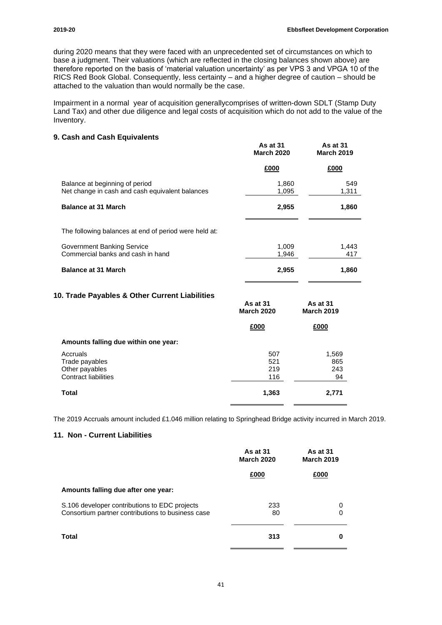during 2020 means that they were faced with an unprecedented set of circumstances on which to base a judgment. Their valuations (which are reflected in the closing balances shown above) are therefore reported on the basis of 'material valuation uncertainty' as per VPS 3 and VPGA 10 of the RICS Red Book Global. Consequently, less certainty – and a higher degree of caution – should be attached to the valuation than would normally be the case.

Impairment in a normal year of acquisition generallycomprises of written-down SDLT (Stamp Duty Land Tax) and other due diligence and legal costs of acquisition which do not add to the value of the Inventory.

# **9. Cash and Cash Equivalents**

| <b>Past and Dasir Equivalents</b>                                                 | As at 31<br><b>March 2020</b> | <b>As at 31</b><br><b>March 2019</b> |
|-----------------------------------------------------------------------------------|-------------------------------|--------------------------------------|
|                                                                                   | £000                          | £000                                 |
| Balance at beginning of period<br>Net change in cash and cash equivalent balances | 1,860<br>1,095                | 549<br>1,311                         |
| <b>Balance at 31 March</b>                                                        | 2,955                         | 1,860                                |
| The following balances at end of period were held at:                             |                               |                                      |
| Government Banking Service<br>Commercial banks and cash in hand                   | 1,009<br>1,946                | 1,443<br>417                         |
| <b>Balance at 31 March</b>                                                        | 2.955                         | 1,860                                |

## **10. Trade Payables & Other Current Liabilities**

|                                      | <b>As at 31</b><br><b>March 2020</b> | As at 31<br><b>March 2019</b> |
|--------------------------------------|--------------------------------------|-------------------------------|
|                                      | £000                                 | £000                          |
| Amounts falling due within one year: |                                      |                               |
| Accruals                             | 507                                  | 1,569                         |
| Trade payables                       | 521                                  | 865                           |
| Other payables                       | 219                                  | 243                           |
| Contract liabilities                 | 116                                  | 94                            |
| <b>Total</b>                         | 1,363                                | 2,771                         |

The 2019 Accruals amount included £1.046 million relating to Springhead Bridge activity incurred in March 2019.

# **11. Non - Current Liabilities**

|                                                                                                    | As at 31<br><b>March 2020</b> | <b>As at 31</b><br><b>March 2019</b> |
|----------------------------------------------------------------------------------------------------|-------------------------------|--------------------------------------|
|                                                                                                    | £000                          | £000                                 |
| Amounts falling due after one year:                                                                |                               |                                      |
| S.106 developer contributions to EDC projects<br>Consortium partner contributions to business case | 233<br>80                     | 0<br>0                               |
| Total                                                                                              | 313                           | 0                                    |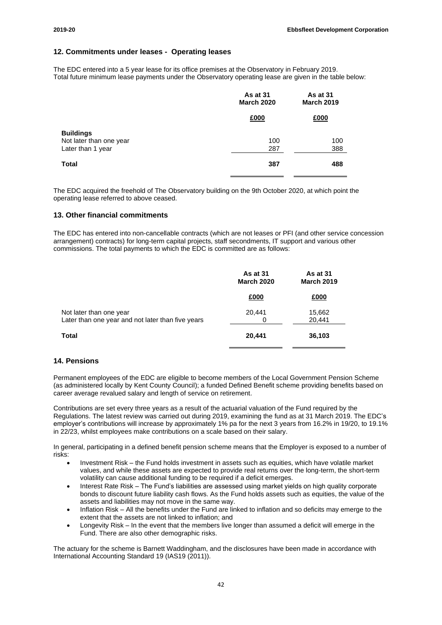# **12. Commitments under leases - Operating leases**

The EDC entered into a 5 year lease for its office premises at the Observatory in February 2019. Total future minimum lease payments under the Observatory operating lease are given in the table below:

|                                                                  | As at 31<br><b>March 2020</b> | As at 31<br><b>March 2019</b> |  |
|------------------------------------------------------------------|-------------------------------|-------------------------------|--|
|                                                                  | £000                          | £000                          |  |
| <b>Buildings</b><br>Not later than one year<br>Later than 1 year | 100<br>287                    | 100<br>388                    |  |
| <b>Total</b>                                                     | 387                           | 488                           |  |

The EDC acquired the freehold of The Observatory building on the 9th October 2020, at which point the operating lease referred to above ceased.

# **13. Other financial commitments**

The EDC has entered into non-cancellable contracts (which are not leases or PFI (and other service concession arrangement) contracts) for long-term capital projects, staff secondments, IT support and various other commissions. The total payments to which the EDC is committed are as follows:

|                                                                              | As at 31<br><b>March 2020</b> | As at 31<br><b>March 2019</b> |  |
|------------------------------------------------------------------------------|-------------------------------|-------------------------------|--|
|                                                                              | £000                          | £000                          |  |
| Not later than one year<br>Later than one year and not later than five years | 20,441<br>n                   | 15,662<br>20,441              |  |
| Total                                                                        | 20,441                        | 36,103                        |  |

# **14. Pensions**

Permanent employees of the EDC are eligible to become members of the Local Government Pension Scheme (as administered locally by Kent County Council); a funded Defined Benefit scheme providing benefits based on career average revalued salary and length of service on retirement.

Contributions are set every three years as a result of the actuarial valuation of the Fund required by the Regulations. The latest review was carried out during 2019, examining the fund as at 31 March 2019. The EDC's employer's contributions will increase by approximately 1% pa for the next 3 years from 16.2% in 19/20, to 19.1% in 22/23, whilst employees make contributions on a scale based on their salary.

In general, participating in a defined benefit pension scheme means that the Employer is exposed to a number of risks:

- Investment Risk the Fund holds investment in assets such as equities, which have volatile market values, and while these assets are expected to provide real returns over the long-term, the short-term volatility can cause additional funding to be required if a deficit emerges.
- Interest Rate Risk The Fund's liabilities are assessed using market yields on high quality corporate bonds to discount future liability cash flows. As the Fund holds assets such as equities, the value of the assets and liabilities may not move in the same way.
- Inflation Risk All the benefits under the Fund are linked to inflation and so deficits may emerge to the extent that the assets are not linked to inflation; and
- Longevity Risk In the event that the members live longer than assumed a deficit will emerge in the Fund. There are also other demographic risks.

The actuary for the scheme is Barnett Waddingham, and the disclosures have been made in accordance with International Accounting Standard 19 (IAS19 (2011)).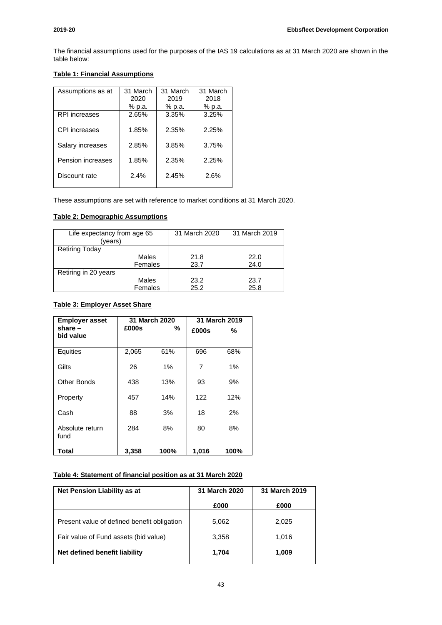The financial assumptions used for the purposes of the IAS 19 calculations as at 31 March 2020 are shown in the table below:

# **Table 1: Financial Assumptions**

| Assumptions as at    | 31 March | 31 March | 31 March |
|----------------------|----------|----------|----------|
|                      | 2020     | 2019     | 2018     |
|                      | % p.a.   | % p.a.   | % p.a.   |
| RPI increases        | 2.65%    | 3.35%    | 3.25%    |
| <b>CPI</b> increases | 1.85%    | 2.35%    | 2.25%    |
| Salary increases     | 2.85%    | 3.85%    | 3.75%    |
| Pension increases    | 1.85%    | 2.35%    | 2.25%    |
| Discount rate        | 2.4%     | 2.45%    | 2.6%     |
|                      |          |          |          |

These assumptions are set with reference to market conditions at 31 March 2020.

## **Table 2: Demographic Assumptions**

| Life expectancy from age 65<br>(vears) |         | 31 March 2020 | 31 March 2019 |
|----------------------------------------|---------|---------------|---------------|
| <b>Retiring Today</b>                  |         |               |               |
| Males                                  |         | 21.8          | 22.0          |
|                                        | Females | 23.7          | 24.0          |
| Retiring in 20 years                   |         |               |               |
|                                        | Males   | 23.2          | 23.7          |
|                                        | Females | 25.2          | 25.8          |

# **Table 3: Employer Asset Share**

| <b>Employer asset</b>   | 31 March 2020 |       |       | 31 March 2019 |
|-------------------------|---------------|-------|-------|---------------|
| share –<br>bid value    | £000s         | ℅     | £000s | %             |
| Equities                | 2,065         | 61%   | 696   | 68%           |
| Gilts                   | 26            | $1\%$ | 7     | 1%            |
| Other Bonds             | 438           | 13%   | 93    | 9%            |
| Property                | 457           | 14%   | 122   | 12%           |
| Cash                    | 88            | 3%    | 18    | 2%            |
| Absolute return<br>fund | 284           | 8%    | 80    | 8%            |
| Total                   | 3,358         | 100%  | 1,016 | 100%          |

# **Table 4: Statement of financial position as at 31 March 2020**

| Net Pension Liability as at                 | 31 March 2020 | 31 March 2019 |
|---------------------------------------------|---------------|---------------|
|                                             | £000          | £000          |
| Present value of defined benefit obligation | 5,062         | 2.025         |
| Fair value of Fund assets (bid value)       | 3,358         | 1.016         |
| Net defined benefit liability               | 1,704         | 1,009         |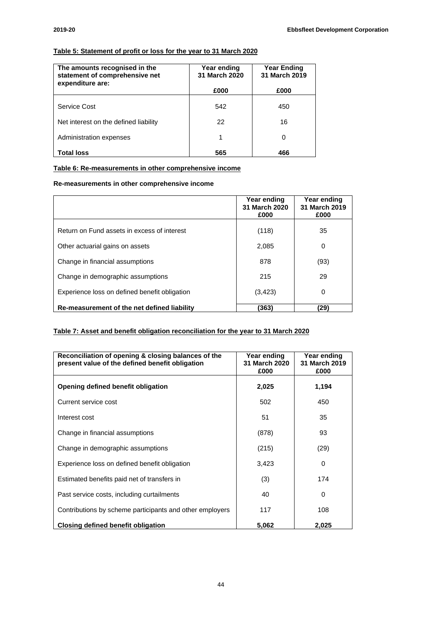# **Table 5: Statement of profit or loss for the year to 31 March 2020**

| The amounts recognised in the<br>statement of comprehensive net<br>expenditure are: | Year ending<br>31 March 2020<br>£000 | <b>Year Ending</b><br>31 March 2019<br>£000 |
|-------------------------------------------------------------------------------------|--------------------------------------|---------------------------------------------|
|                                                                                     |                                      |                                             |
| Service Cost                                                                        | 542                                  | 450                                         |
| Net interest on the defined liability                                               | 22                                   | 16                                          |
| Administration expenses                                                             | 1                                    | 0                                           |
| Total loss                                                                          | 565                                  | 466                                         |

# **Table 6: Re-measurements in other comprehensive income**

# **Re-measurements in other comprehensive income**

|                                               | Year ending<br>31 March 2020<br>£000 | Year ending<br>31 March 2019<br>£000 |
|-----------------------------------------------|--------------------------------------|--------------------------------------|
| Return on Fund assets in excess of interest   | (118)                                | 35                                   |
| Other actuarial gains on assets               | 2.085                                | 0                                    |
| Change in financial assumptions               | 878                                  | (93)                                 |
| Change in demographic assumptions             | 215                                  | 29                                   |
| Experience loss on defined benefit obligation | (3,423)                              | 0                                    |
| Re-measurement of the net defined liability   | (363)                                | (29)                                 |

# **Table 7: Asset and benefit obligation reconciliation for the year to 31 March 2020**

| Reconciliation of opening & closing balances of the<br>present value of the defined benefit obligation | Year ending<br>31 March 2020<br>£000 | Year ending<br>31 March 2019<br>£000 |
|--------------------------------------------------------------------------------------------------------|--------------------------------------|--------------------------------------|
| Opening defined benefit obligation                                                                     | 2,025                                | 1,194                                |
| Current service cost                                                                                   | 502                                  | 450                                  |
| Interest cost                                                                                          | 51                                   | 35                                   |
| Change in financial assumptions                                                                        | (878)                                | 93                                   |
| Change in demographic assumptions                                                                      | (215)                                | (29)                                 |
| Experience loss on defined benefit obligation                                                          | 3,423                                | 0                                    |
| Estimated benefits paid net of transfers in                                                            | (3)                                  | 174                                  |
| Past service costs, including curtailments                                                             | 40                                   | 0                                    |
| Contributions by scheme participants and other employers                                               | 117                                  | 108                                  |
| <b>Closing defined benefit obligation</b>                                                              | 5,062                                | 2,025                                |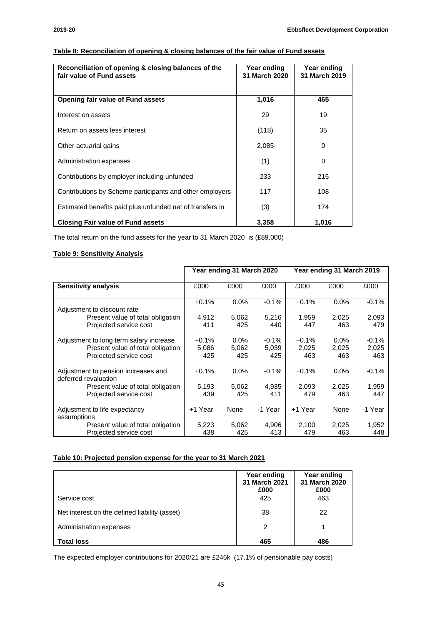| Table 8: Reconciliation of opening & closing balances of the fair value of Fund assets |  |  |
|----------------------------------------------------------------------------------------|--|--|
|                                                                                        |  |  |

| Reconciliation of opening & closing balances of the<br>fair value of Fund assets | Year ending<br>31 March 2020 | Year ending<br>31 March 2019 |
|----------------------------------------------------------------------------------|------------------------------|------------------------------|
|                                                                                  |                              |                              |
| <b>Opening fair value of Fund assets</b>                                         | 1,016                        | 465                          |
| Interest on assets                                                               | 29                           | 19                           |
| Return on assets less interest                                                   | (118)                        | 35                           |
| Other actuarial gains                                                            | 2,085                        | 0                            |
| Administration expenses                                                          | (1)                          | 0                            |
| Contributions by employer including unfunded                                     | 233                          | 215                          |
| Contributions by Scheme participants and other employers                         | 117                          | 108                          |
| Estimated benefits paid plus unfunded net of transfers in                        | (3)                          | 174                          |
| <b>Closing Fair value of Fund assets</b>                                         | 3,358                        | 1,016                        |

The total return on the fund assets for the year to 31 March 2020 is (£89,000)

# **Table 9: Sensitivity Analysis**

|                                                                                                        | Year ending 31 March 2020 |                         | Year ending 31 March 2019 |                         |                         |                         |
|--------------------------------------------------------------------------------------------------------|---------------------------|-------------------------|---------------------------|-------------------------|-------------------------|-------------------------|
| <b>Sensitivity analysis</b>                                                                            | £000                      | £000                    | £000                      | £000                    | £000                    | £000                    |
| Adjustment to discount rate                                                                            | $+0.1%$                   | 0.0%                    | $-0.1%$                   | $+0.1%$                 | 0.0%                    | $-0.1%$                 |
| Present value of total obligation<br>Projected service cost                                            | 4,912<br>411              | 5,062<br>425            | 5,216<br>440              | 1,959<br>447            | 2,025<br>463            | 2,093<br>479            |
| Adjustment to long term salary increase<br>Present value of total obligation<br>Projected service cost | $+0.1%$<br>5,086<br>425   | $0.0\%$<br>5,062<br>425 | $-0.1%$<br>5,039<br>425   | $+0.1%$<br>2.025<br>463 | $0.0\%$<br>2.025<br>463 | $-0.1%$<br>2,025<br>463 |
| Adjustment to pension increases and<br>deferred revaluation                                            | $+0.1%$                   | $0.0\%$                 | $-0.1%$                   | $+0.1%$                 | 0.0%                    | $-0.1%$                 |
| Present value of total obligation<br>Projected service cost                                            | 5,193<br>439              | 5,062<br>425            | 4,935<br>411              | 2,093<br>479            | 2,025<br>463            | 1,959<br>447            |
| Adjustment to life expectancy<br>assumptions                                                           | +1 Year                   | None                    | -1 Year                   | +1 Year                 | None                    | -1 Year                 |
| Present value of total obligation<br>Projected service cost                                            | 5,223<br>438              | 5,062<br>425            | 4,906<br>413              | 2,100<br>479            | 2,025<br>463            | 1,952<br>448            |

# **Table 10: Projected pension expense for the year to 31 March 2021**

|                                               | Year ending<br>31 March 2021<br>£000 | Year ending<br>31 March 2020<br>£000 |
|-----------------------------------------------|--------------------------------------|--------------------------------------|
| Service cost                                  | 425                                  | 463                                  |
| Net interest on the defined liability (asset) | 38                                   | 22                                   |
| Administration expenses                       | 2                                    |                                      |
| <b>Total loss</b>                             | 465                                  | 486                                  |

The expected employer contributions for 2020/21 are £246k (17.1% of pensionable pay costs)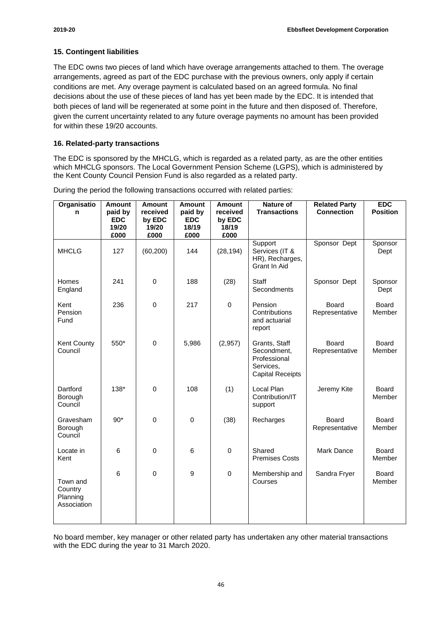# **15. Contingent liabilities**

The EDC owns two pieces of land which have overage arrangements attached to them. The overage arrangements, agreed as part of the EDC purchase with the previous owners, only apply if certain conditions are met. Any overage payment is calculated based on an agreed formula. No final decisions about the use of these pieces of land has yet been made by the EDC. It is intended that both pieces of land will be regenerated at some point in the future and then disposed of. Therefore, given the current uncertainty related to any future overage payments no amount has been provided for within these 19/20 accounts.

# **16. Related-party transactions**

The EDC is sponsored by the MHCLG, which is regarded as a related party, as are the other entities which MHCLG sponsors. The Local Government Pension Scheme (LGPS), which is administered by the Kent County Council Pension Fund is also regarded as a related party.

| Organisatio<br>n                               | <b>Amount</b><br>paid by<br><b>EDC</b><br>19/20<br>£000 | <b>Amount</b><br>received<br>by EDC<br>19/20<br>£000 | <b>Amount</b><br>paid by<br><b>EDC</b><br>18/19<br>£000 | <b>Amount</b><br>received<br>by EDC<br>18/19<br>£000 | <b>Nature of</b><br><b>Transactions</b>                                              | <b>Related Party</b><br><b>Connection</b> | <b>EDC</b><br><b>Position</b> |
|------------------------------------------------|---------------------------------------------------------|------------------------------------------------------|---------------------------------------------------------|------------------------------------------------------|--------------------------------------------------------------------------------------|-------------------------------------------|-------------------------------|
| <b>MHCLG</b>                                   | 127                                                     | (60, 200)                                            | 144                                                     | (28, 194)                                            | Support<br>Services (IT &<br>HR), Recharges,<br>Grant In Aid                         | Sponsor Dept                              | Sponsor<br>Dept               |
| Homes<br>England                               | 241                                                     | 0                                                    | 188                                                     | (28)                                                 | Staff<br><b>Secondments</b>                                                          | Sponsor Dept                              | Sponsor<br>Dept               |
| Kent<br>Pension<br>Fund                        | 236                                                     | $\mathbf 0$                                          | 217                                                     | $\pmb{0}$                                            | Pension<br>Contributions<br>and actuarial<br>report                                  | <b>Board</b><br>Representative            | <b>Board</b><br>Member        |
| Kent County<br>Council                         | 550*                                                    | $\mathbf 0$                                          | 5,986                                                   | (2,957)                                              | Grants, Staff<br>Secondment,<br>Professional<br>Services,<br><b>Capital Receipts</b> | Board<br>Representative                   | Board<br>Member               |
| Dartford<br>Borough<br>Council                 | 138*                                                    | 0                                                    | 108                                                     | (1)                                                  | Local Plan<br>Contribution/IT<br>support                                             | Jeremy Kite                               | Board<br>Member               |
| Gravesham<br>Borough<br>Council                | $90*$                                                   | $\mathbf 0$                                          | $\mathbf 0$                                             | (38)                                                 | Recharges                                                                            | Board<br>Representative                   | Board<br>Member               |
| Locate in<br>Kent                              | 6                                                       | $\mathbf 0$                                          | 6                                                       | $\mathbf 0$                                          | Shared<br><b>Premises Costs</b>                                                      | Mark Dance                                | <b>Board</b><br>Member        |
| Town and<br>Country<br>Planning<br>Association | 6                                                       | $\mathbf 0$                                          | 9                                                       | $\mathbf 0$                                          | Membership and<br>Courses                                                            | Sandra Fryer                              | <b>Board</b><br>Member        |

During the period the following transactions occurred with related parties:

No board member, key manager or other related party has undertaken any other material transactions with the EDC during the year to 31 March 2020.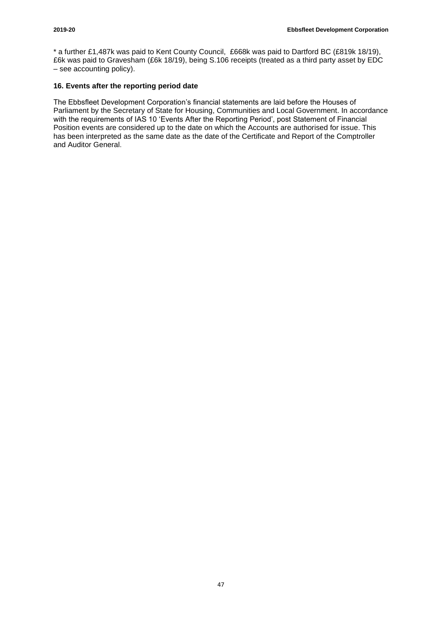\* a further £1,487k was paid to Kent County Council, £668k was paid to Dartford BC (£819k 18/19), £6k was paid to Gravesham (£6k 18/19), being S.106 receipts (treated as a third party asset by EDC – see accounting policy).

# **16. Events after the reporting period date**

The Ebbsfleet Development Corporation's financial statements are laid before the Houses of Parliament by the Secretary of State for Housing, Communities and Local Government. In accordance with the requirements of IAS 10 'Events After the Reporting Period', post Statement of Financial Position events are considered up to the date on which the Accounts are authorised for issue. This has been interpreted as the same date as the date of the Certificate and Report of the Comptroller and Auditor General.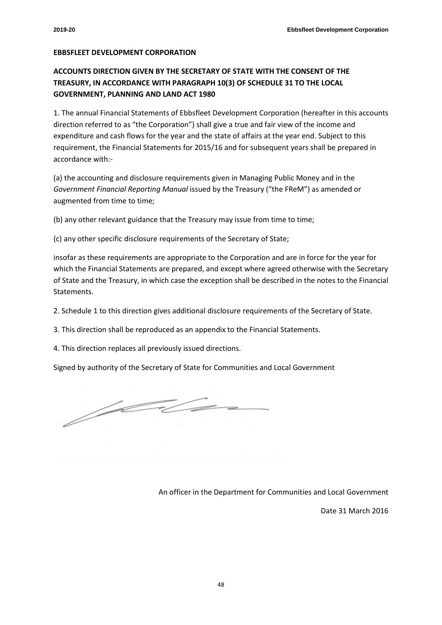# **EBBSFLEET DEVELOPMENT CORPORATION**

# **ACCOUNTS DIRECTION GIVEN BY THE SECRETARY OF STATE WITH THE CONSENT OF THE TREASURY, IN ACCORDANCE WITH PARAGRAPH 10(3) OF SCHEDULE 31 TO THE LOCAL GOVERNMENT, PLANNING AND LAND ACT 1980**

1. The annual Financial Statements of Ebbsfleet Development Corporation (hereafter in this accounts direction referred to as "the Corporation") shall give a true and fair view of the income and expenditure and cash flows for the year and the state of affairs at the year end. Subject to this requirement, the Financial Statements for 2015/16 and for subsequent years shall be prepared in accordance with:-

(a) the accounting and disclosure requirements given in Managing Public Money and in the *Government Financial Reporting Manual* issued by the Treasury ("the FReM") as amended or augmented from time to time;

(b) any other relevant guidance that the Treasury may issue from time to time;

(c) any other specific disclosure requirements of the Secretary of State;

insofar as these requirements are appropriate to the Corporation and are in force for the year for which the Financial Statements are prepared, and except where agreed otherwise with the Secretary of State and the Treasury, in which case the exception shall be described in the notes to the Financial Statements.

2. Schedule 1 to this direction gives additional disclosure requirements of the Secretary of State.

3. This direction shall be reproduced as an appendix to the Financial Statements.

4. This direction replaces all previously issued directions.

Signed by authority of the Secretary of State for Communities and Local Government

*ff* 

An officer in the Department for Communities and Local Government

Date 31 March 2016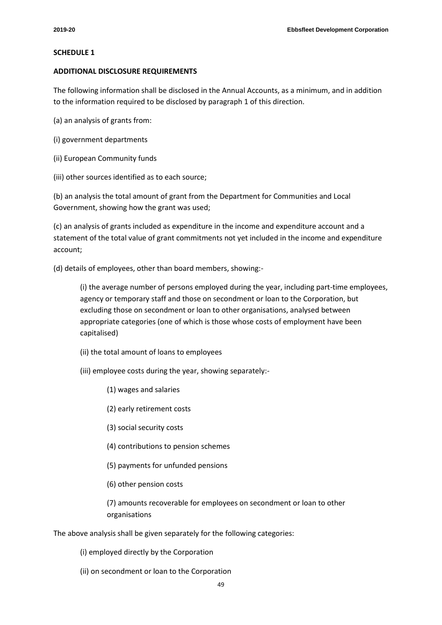# **SCHEDULE 1**

## **ADDITIONAL DISCLOSURE REQUIREMENTS**

The following information shall be disclosed in the Annual Accounts, as a minimum, and in addition to the information required to be disclosed by paragraph 1 of this direction.

(a) an analysis of grants from:

- (i) government departments
- (ii) European Community funds
- (iii) other sources identified as to each source;

(b) an analysis the total amount of grant from the Department for Communities and Local Government, showing how the grant was used;

(c) an analysis of grants included as expenditure in the income and expenditure account and a statement of the total value of grant commitments not yet included in the income and expenditure account;

(d) details of employees, other than board members, showing:-

(i) the average number of persons employed during the year, including part-time employees, agency or temporary staff and those on secondment or loan to the Corporation, but excluding those on secondment or loan to other organisations, analysed between appropriate categories (one of which is those whose costs of employment have been capitalised)

- (ii) the total amount of loans to employees
- (iii) employee costs during the year, showing separately:-
	- (1) wages and salaries
	- (2) early retirement costs
	- (3) social security costs
	- (4) contributions to pension schemes
	- (5) payments for unfunded pensions
	- (6) other pension costs

(7) amounts recoverable for employees on secondment or loan to other organisations

The above analysis shall be given separately for the following categories:

- (i) employed directly by the Corporation
- (ii) on secondment or loan to the Corporation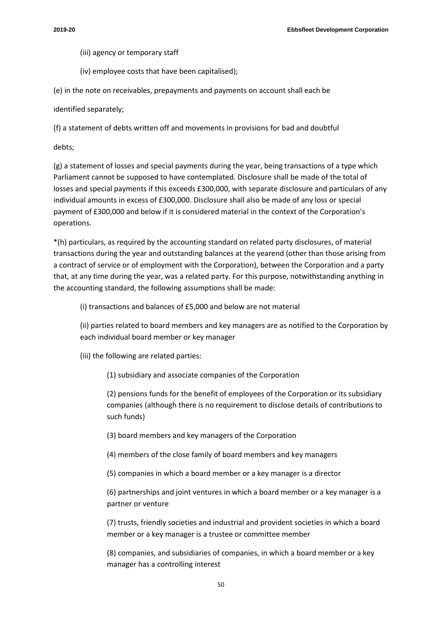- (iii) agency or temporary staff
- (iv) employee costs that have been capitalised);

(e) in the note on receivables, prepayments and payments on account shall each be

identified separately;

(f) a statement of debts written off and movements in provisions for bad and doubtful

debts;

(g) a statement of losses and special payments during the year, being transactions of a type which Parliament cannot be supposed to have contemplated. Disclosure shall be made of the total of losses and special payments if this exceeds £300,000, with separate disclosure and particulars of any individual amounts in excess of £300,000. Disclosure shall also be made of any loss or special payment of £300,000 and below if it is considered material in the context of the Corporation's operations.

\*(h) particulars, as required by the accounting standard on related party disclosures, of material transactions during the year and outstanding balances at the yearend (other than those arising from a contract of service or of employment with the Corporation), between the Corporation and a party that, at any time during the year, was a related party. For this purpose, notwithstanding anything in the accounting standard, the following assumptions shall be made:

(i) transactions and balances of £5,000 and below are not material

(ii) parties related to board members and key managers are as notified to the Corporation by each individual board member or key manager

(iii) the following are related parties:

(1) subsidiary and associate companies of the Corporation

(2) pensions funds for the benefit of employees of the Corporation or its subsidiary companies (although there is no requirement to disclose details of contributions to such funds)

(3) board members and key managers of the Corporation

(4) members of the close family of board members and key managers

(5) companies in which a board member or a key manager is a director

(6) partnerships and joint ventures in which a board member or a key manager is a partner or venture

(7) trusts, friendly societies and industrial and provident societies in which a board member or a key manager is a trustee or committee member

(8) companies, and subsidiaries of companies, in which a board member or a key manager has a controlling interest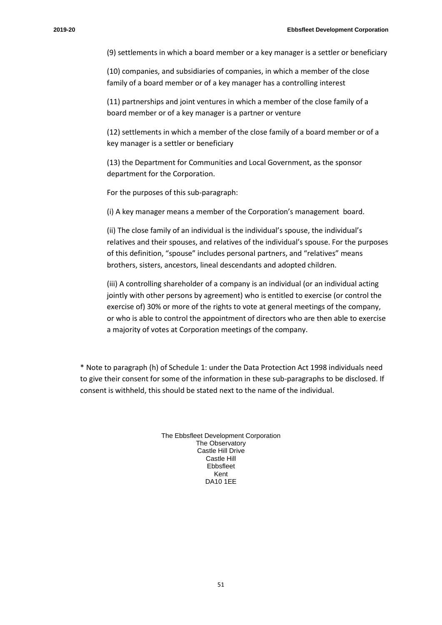(9) settlements in which a board member or a key manager is a settler or beneficiary

(10) companies, and subsidiaries of companies, in which a member of the close family of a board member or of a key manager has a controlling interest

(11) partnerships and joint ventures in which a member of the close family of a board member or of a key manager is a partner or venture

(12) settlements in which a member of the close family of a board member or of a key manager is a settler or beneficiary

(13) the Department for Communities and Local Government, as the sponsor department for the Corporation.

For the purposes of this sub-paragraph:

(i) A key manager means a member of the Corporation's management board.

(ii) The close family of an individual is the individual's spouse, the individual's relatives and their spouses, and relatives of the individual's spouse. For the purposes of this definition, "spouse" includes personal partners, and "relatives" means brothers, sisters, ancestors, lineal descendants and adopted children.

(iii) A controlling shareholder of a company is an individual (or an individual acting jointly with other persons by agreement) who is entitled to exercise (or control the exercise of) 30% or more of the rights to vote at general meetings of the company, or who is able to control the appointment of directors who are then able to exercise a majority of votes at Corporation meetings of the company.

\* Note to paragraph (h) of Schedule 1: under the Data Protection Act 1998 individuals need to give their consent for some of the information in these sub-paragraphs to be disclosed. If consent is withheld, this should be stated next to the name of the individual.

> The Ebbsfleet Development Corporation The Observatory Castle Hill Drive Castle Hill Ebbsfleet Kent DA10 1EE